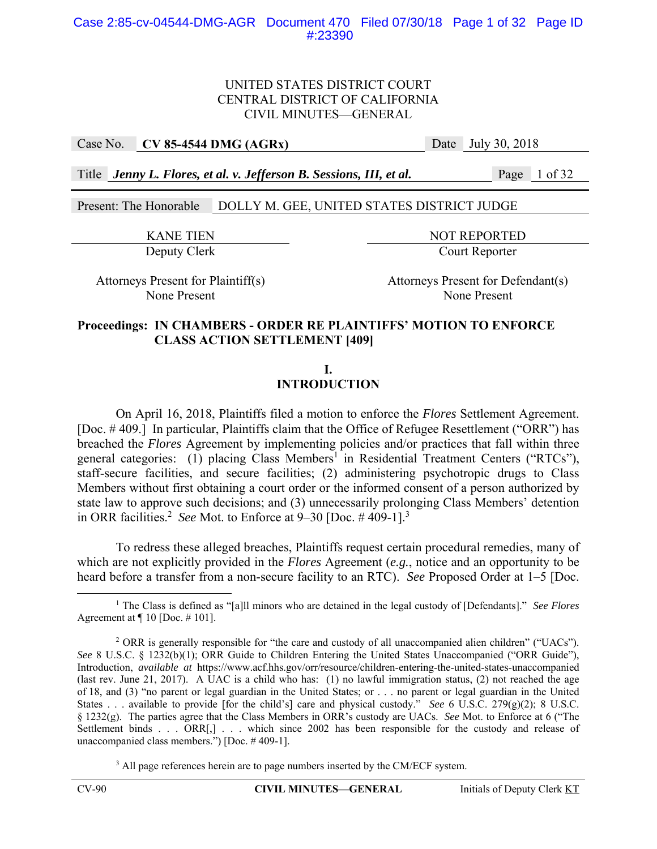## Case No. **CV 85-4544 DMG (AGRx)** Date July 30, 2018

Title *Jenny L. Flores, et al. v. Jefferson B. Sessions, III, et al.* Page 1 of 32

Present: The Honorable DOLLY M. GEE, UNITED STATES DISTRICT JUDGE

KANE TIEN NOT REPORTED Deputy Clerk Court Reporter

Attorneys Present for Plaintiff(s) Attorneys Present for Defendant(s) None Present None Present

### **Proceedings: IN CHAMBERS - ORDER RE PLAINTIFFS' MOTION TO ENFORCE CLASS ACTION SETTLEMENT [409]**

**I.** 

## **INTRODUCTION**

 On April 16, 2018, Plaintiffs filed a motion to enforce the *Flores* Settlement Agreement. [Doc. # 409.] In particular, Plaintiffs claim that the Office of Refugee Resettlement ("ORR") has breached the *Flores* Agreement by implementing policies and/or practices that fall within three general categories: (1) placing Class Members<sup>1</sup> in Residential Treatment Centers ("RTCs"), staff-secure facilities, and secure facilities; (2) administering psychotropic drugs to Class Members without first obtaining a court order or the informed consent of a person authorized by state law to approve such decisions; and (3) unnecessarily prolonging Class Members' detention in ORR facilities.<sup>2</sup> See Mot. to Enforce at  $9-30$  [Doc.  $\#$  409-1].<sup>3</sup>

To redress these alleged breaches, Plaintiffs request certain procedural remedies, many of which are not explicitly provided in the *Flores* Agreement (*e.g.*, notice and an opportunity to be heard before a transfer from a non-secure facility to an RTC). *See* Proposed Order at 1–5 [Doc.

<sup>3</sup> All page references herein are to page numbers inserted by the CM/ECF system.

<sup>&</sup>lt;u>1</u> The Class is defined as "[a]ll minors who are detained in the legal custody of [Defendants]." *See Flores* Agreement at  $\P$  10 [Doc. #101].

<sup>&</sup>lt;sup>2</sup> ORR is generally responsible for "the care and custody of all unaccompanied alien children" ("UACs"). *See* 8 U.S.C. § 1232(b)(1); ORR Guide to Children Entering the United States Unaccompanied ("ORR Guide"), Introduction, *available at* https://www.acf.hhs.gov/orr/resource/children-entering-the-united-states-unaccompanied (last rev. June 21, 2017). A UAC is a child who has: (1) no lawful immigration status, (2) not reached the age of 18, and (3) "no parent or legal guardian in the United States; or . . . no parent or legal guardian in the United States . . . available to provide [for the child's] care and physical custody." *See* 6 U.S.C. 279(g)(2); 8 U.S.C. § 1232(g). The parties agree that the Class Members in ORR's custody are UACs. *See* Mot. to Enforce at 6 ("The Settlement binds . . . ORR[,] . . . which since 2002 has been responsible for the custody and release of unaccompanied class members.") [Doc. # 409-1].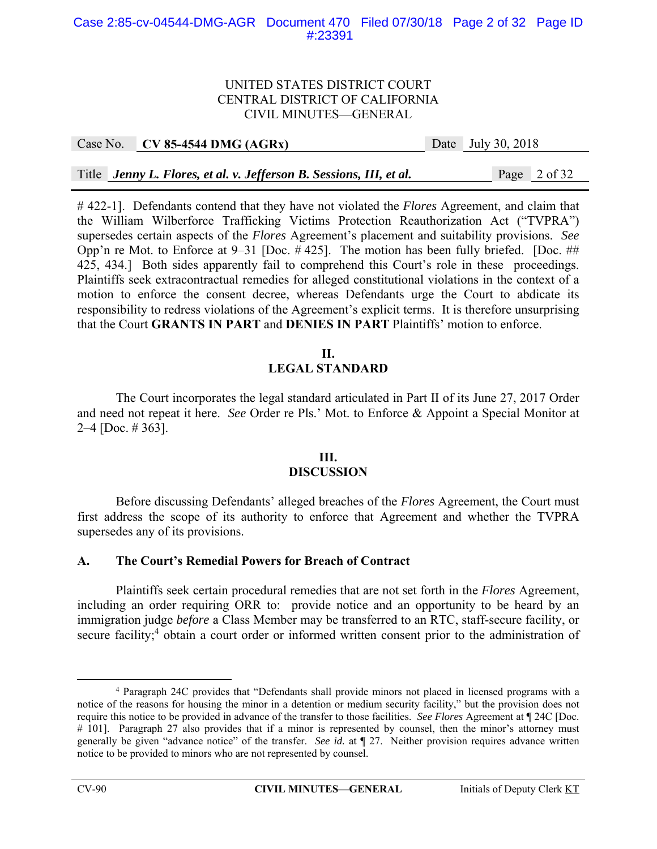#### Case 2:85-cv-04544-DMG-AGR Document 470 Filed 07/30/18 Page 2 of 32 Page ID #:23391

#### UNITED STATES DISTRICT COURT CENTRAL DISTRICT OF CALIFORNIA CIVIL MINUTES—GENERAL

|  | Case No. $\vert$ CV 85-4544 DMG (AGRx)                              | Date July 30, 2018 |  |              |
|--|---------------------------------------------------------------------|--------------------|--|--------------|
|  |                                                                     |                    |  |              |
|  | Title Jenny L. Flores, et al. v. Jefferson B. Sessions, III, et al. |                    |  | Page 2 of 32 |

# 422-1]. Defendants contend that they have not violated the *Flores* Agreement, and claim that the William Wilberforce Trafficking Victims Protection Reauthorization Act ("TVPRA") supersedes certain aspects of the *Flores* Agreement's placement and suitability provisions. *See* Opp'n re Mot. to Enforce at 9–31 [Doc. # 425]. The motion has been fully briefed. [Doc. ## 425, 434.] Both sides apparently fail to comprehend this Court's role in these proceedings. Plaintiffs seek extracontractual remedies for alleged constitutional violations in the context of a motion to enforce the consent decree, whereas Defendants urge the Court to abdicate its responsibility to redress violations of the Agreement's explicit terms. It is therefore unsurprising that the Court **GRANTS IN PART** and **DENIES IN PART** Plaintiffs' motion to enforce.

#### **II. LEGAL STANDARD**

The Court incorporates the legal standard articulated in Part II of its June 27, 2017 Order and need not repeat it here. *See* Order re Pls.' Mot. to Enforce & Appoint a Special Monitor at 2–4 [Doc. # 363].

## **III. DISCUSSION**

 Before discussing Defendants' alleged breaches of the *Flores* Agreement, the Court must first address the scope of its authority to enforce that Agreement and whether the TVPRA supersedes any of its provisions.

## **A. The Court's Remedial Powers for Breach of Contract**

 Plaintiffs seek certain procedural remedies that are not set forth in the *Flores* Agreement, including an order requiring ORR to: provide notice and an opportunity to be heard by an immigration judge *before* a Class Member may be transferred to an RTC, staff-secure facility, or secure facility;<sup>4</sup> obtain a court order or informed written consent prior to the administration of

 $\overline{a}$  Paragraph 24C provides that "Defendants shall provide minors not placed in licensed programs with a notice of the reasons for housing the minor in a detention or medium security facility," but the provision does not require this notice to be provided in advance of the transfer to those facilities. *See Flores* Agreement at ¶ 24C [Doc. # 101]. Paragraph 27 also provides that if a minor is represented by counsel, then the minor's attorney must generally be given "advance notice" of the transfer. *See id.* at ¶ 27. Neither provision requires advance written notice to be provided to minors who are not represented by counsel.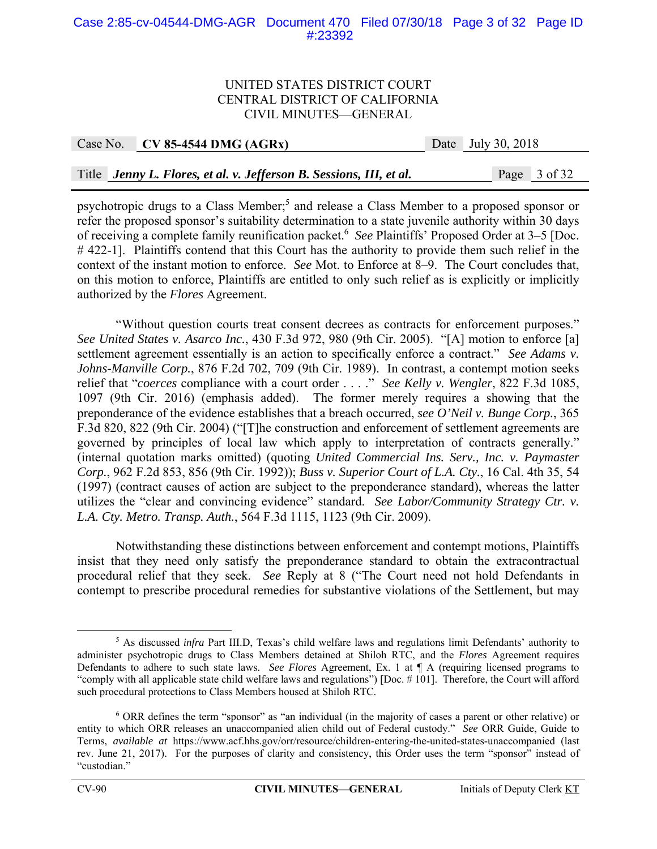#### Case 2:85-cv-04544-DMG-AGR Document 470 Filed 07/30/18 Page 3 of 32 Page ID #:23392

#### UNITED STATES DISTRICT COURT CENTRAL DISTRICT OF CALIFORNIA CIVIL MINUTES—GENERAL

| Case No. $\vert$ CV 85-4544 DMG (AGRx)                              | Date July 30, 2018 |
|---------------------------------------------------------------------|--------------------|
|                                                                     |                    |
| Title Jenny L. Flores, et al. v. Jefferson B. Sessions, III, et al. | Page 3 of 32       |

psychotropic drugs to a Class Member;<sup>5</sup> and release a Class Member to a proposed sponsor or refer the proposed sponsor's suitability determination to a state juvenile authority within 30 days of receiving a complete family reunification packet.<sup>6</sup> See Plaintiffs' Proposed Order at 3–5 [Doc. # 422-1]. Plaintiffs contend that this Court has the authority to provide them such relief in the context of the instant motion to enforce. *See* Mot. to Enforce at 8–9. The Court concludes that, on this motion to enforce, Plaintiffs are entitled to only such relief as is explicitly or implicitly authorized by the *Flores* Agreement.

 "Without question courts treat consent decrees as contracts for enforcement purposes." *See United States v. Asarco Inc.*, 430 F.3d 972, 980 (9th Cir. 2005). "[A] motion to enforce [a] settlement agreement essentially is an action to specifically enforce a contract." *See Adams v. Johns-Manville Corp.*, 876 F.2d 702, 709 (9th Cir. 1989). In contrast, a contempt motion seeks relief that "*coerces* compliance with a court order . . . ." *See Kelly v. Wengler*, 822 F.3d 1085, 1097 (9th Cir. 2016) (emphasis added). The former merely requires a showing that the preponderance of the evidence establishes that a breach occurred, *see O'Neil v. Bunge Corp.*, 365 F.3d 820, 822 (9th Cir. 2004) ("[T]he construction and enforcement of settlement agreements are governed by principles of local law which apply to interpretation of contracts generally." (internal quotation marks omitted) (quoting *United Commercial Ins. Serv., Inc. v. Paymaster Corp.*, 962 F.2d 853, 856 (9th Cir. 1992)); *Buss v. Superior Court of L.A. Cty.*, 16 Cal. 4th 35, 54 (1997) (contract causes of action are subject to the preponderance standard), whereas the latter utilizes the "clear and convincing evidence" standard. *See Labor/Community Strategy Ctr. v. L.A. Cty. Metro. Transp. Auth.*, 564 F.3d 1115, 1123 (9th Cir. 2009).

 Notwithstanding these distinctions between enforcement and contempt motions, Plaintiffs insist that they need only satisfy the preponderance standard to obtain the extracontractual procedural relief that they seek. *See* Reply at 8 ("The Court need not hold Defendants in contempt to prescribe procedural remedies for substantive violations of the Settlement, but may

 $rac{1}{5}$ <sup>5</sup> As discussed *infra* Part III.D, Texas's child welfare laws and regulations limit Defendants' authority to administer psychotropic drugs to Class Members detained at Shiloh RTC, and the *Flores* Agreement requires Defendants to adhere to such state laws. *See Flores* Agreement, Ex. 1 at ¶ A (requiring licensed programs to "comply with all applicable state child welfare laws and regulations") [Doc. # 101]. Therefore, the Court will afford such procedural protections to Class Members housed at Shiloh RTC.

<sup>6</sup> ORR defines the term "sponsor" as "an individual (in the majority of cases a parent or other relative) or entity to which ORR releases an unaccompanied alien child out of Federal custody." *See* ORR Guide, Guide to Terms, *available at* https://www.acf.hhs.gov/orr/resource/children-entering-the-united-states-unaccompanied (last rev. June 21, 2017). For the purposes of clarity and consistency, this Order uses the term "sponsor" instead of "custodian."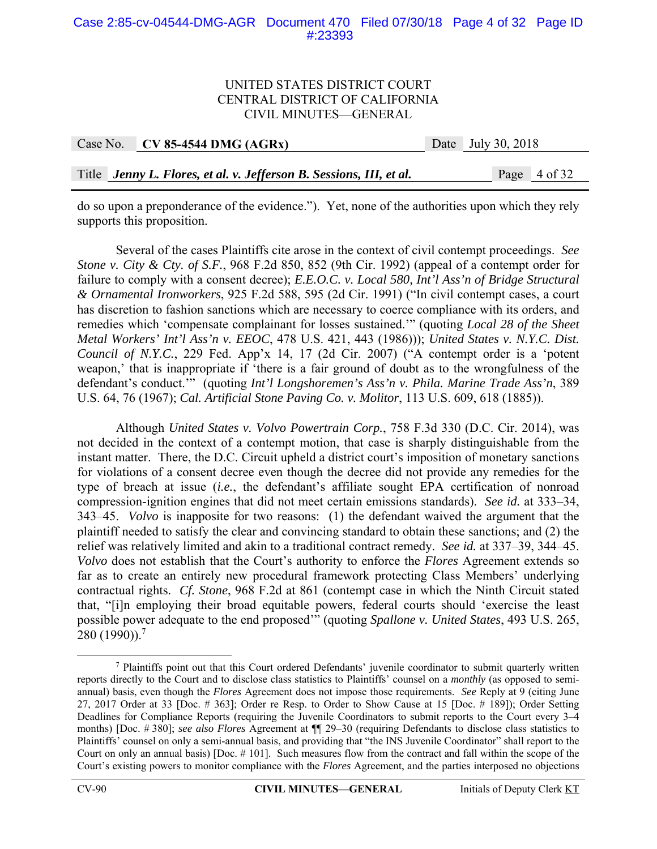#### Case 2:85-cv-04544-DMG-AGR Document 470 Filed 07/30/18 Page 4 of 32 Page ID #:23393

#### UNITED STATES DISTRICT COURT CENTRAL DISTRICT OF CALIFORNIA CIVIL MINUTES—GENERAL

| Case No. CV 85-4544 DMG (AGRx)                                      | Date July 30, 2018 |
|---------------------------------------------------------------------|--------------------|
|                                                                     |                    |
| Title Jenny L. Flores, et al. v. Jefferson B. Sessions, III, et al. | Page 4 of 32       |

do so upon a preponderance of the evidence."). Yet, none of the authorities upon which they rely supports this proposition.

Several of the cases Plaintiffs cite arose in the context of civil contempt proceedings. *See Stone v. City & Cty. of S.F.*, 968 F.2d 850, 852 (9th Cir. 1992) (appeal of a contempt order for failure to comply with a consent decree); *E.E.O.C. v. Local 580, Int'l Ass'n of Bridge Structural & Ornamental Ironworkers*, 925 F.2d 588, 595 (2d Cir. 1991) ("In civil contempt cases, a court has discretion to fashion sanctions which are necessary to coerce compliance with its orders, and remedies which 'compensate complainant for losses sustained.'" (quoting *Local 28 of the Sheet Metal Workers' Int'l Ass'n v. EEOC*, 478 U.S. 421, 443 (1986))); *United States v. N.Y.C. Dist. Council of N.Y.C.*, 229 Fed. App'x 14, 17 (2d Cir. 2007) ("A contempt order is a 'potent weapon,' that is inappropriate if 'there is a fair ground of doubt as to the wrongfulness of the defendant's conduct.'" (quoting *Int'l Longshoremen's Ass'n v. Phila. Marine Trade Ass'n*, 389 U.S. 64, 76 (1967); *Cal. Artificial Stone Paving Co. v. Molitor*, 113 U.S. 609, 618 (1885)).

Although *United States v. Volvo Powertrain Corp.*, 758 F.3d 330 (D.C. Cir. 2014), was not decided in the context of a contempt motion, that case is sharply distinguishable from the instant matter. There, the D.C. Circuit upheld a district court's imposition of monetary sanctions for violations of a consent decree even though the decree did not provide any remedies for the type of breach at issue (*i.e.*, the defendant's affiliate sought EPA certification of nonroad compression-ignition engines that did not meet certain emissions standards). *See id.* at 333–34, 343–45. *Volvo* is inapposite for two reasons: (1) the defendant waived the argument that the plaintiff needed to satisfy the clear and convincing standard to obtain these sanctions; and (2) the relief was relatively limited and akin to a traditional contract remedy. *See id.* at 337–39, 344–45. *Volvo* does not establish that the Court's authority to enforce the *Flores* Agreement extends so far as to create an entirely new procedural framework protecting Class Members' underlying contractual rights. *Cf. Stone*, 968 F.2d at 861 (contempt case in which the Ninth Circuit stated that, "[i]n employing their broad equitable powers, federal courts should 'exercise the least possible power adequate to the end proposed'" (quoting *Spallone v. United States*, 493 U.S. 265, 280 (1990)).7

 <sup>7</sup> <sup>7</sup> Plaintiffs point out that this Court ordered Defendants' juvenile coordinator to submit quarterly written reports directly to the Court and to disclose class statistics to Plaintiffs' counsel on a *monthly* (as opposed to semiannual) basis, even though the *Flores* Agreement does not impose those requirements. *See* Reply at 9 (citing June 27, 2017 Order at 33 [Doc. # 363]; Order re Resp. to Order to Show Cause at 15 [Doc. # 189]); Order Setting Deadlines for Compliance Reports (requiring the Juvenile Coordinators to submit reports to the Court every 3–4 months) [Doc. # 380]; *see also Flores* Agreement at ¶¶ 29–30 (requiring Defendants to disclose class statistics to Plaintiffs' counsel on only a semi-annual basis, and providing that "the INS Juvenile Coordinator" shall report to the Court on only an annual basis) [Doc. # 101]. Such measures flow from the contract and fall within the scope of the Court's existing powers to monitor compliance with the *Flores* Agreement, and the parties interposed no objections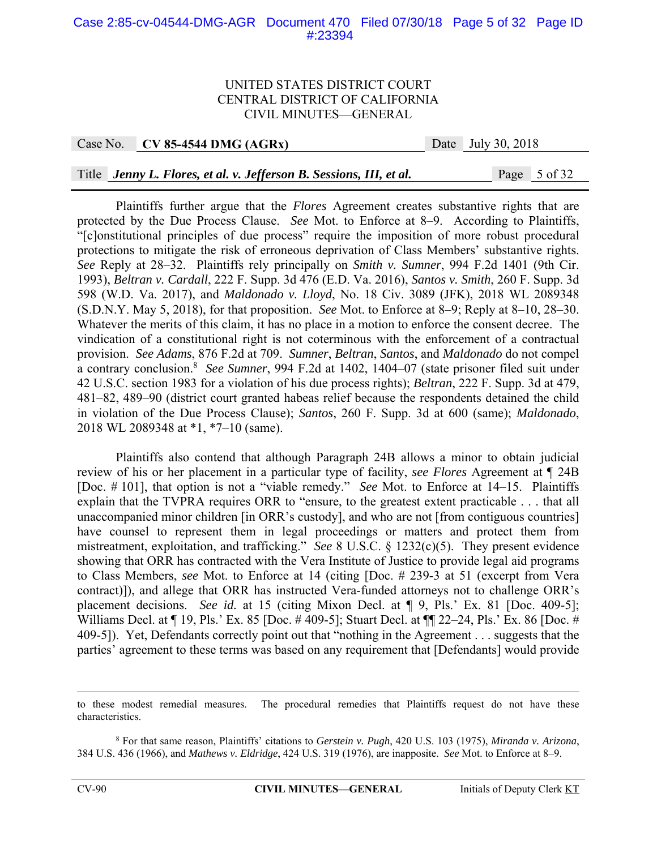#### Case 2:85-cv-04544-DMG-AGR Document 470 Filed 07/30/18 Page 5 of 32 Page ID #:23394

#### UNITED STATES DISTRICT COURT CENTRAL DISTRICT OF CALIFORNIA CIVIL MINUTES—GENERAL

Case No. **CV 85-4544 DMG (AGRx)** Date July 30, 2018

#### Title *Jenny L. Flores, et al. v. Jefferson B. Sessions, III, et al.* Page 5 of 32

Plaintiffs further argue that the *Flores* Agreement creates substantive rights that are protected by the Due Process Clause. *See* Mot. to Enforce at 8–9. According to Plaintiffs, "[c]onstitutional principles of due process" require the imposition of more robust procedural protections to mitigate the risk of erroneous deprivation of Class Members' substantive rights. *See* Reply at 28–32. Plaintiffs rely principally on *Smith v. Sumner*, 994 F.2d 1401 (9th Cir. 1993), *Beltran v. Cardall*, 222 F. Supp. 3d 476 (E.D. Va. 2016), *Santos v. Smith*, 260 F. Supp. 3d 598 (W.D. Va. 2017), and *Maldonado v. Lloyd*, No. 18 Civ. 3089 (JFK), 2018 WL 2089348 (S.D.N.Y. May 5, 2018), for that proposition. *See* Mot. to Enforce at 8–9; Reply at 8–10, 28–30. Whatever the merits of this claim, it has no place in a motion to enforce the consent decree. The vindication of a constitutional right is not coterminous with the enforcement of a contractual provision. *See Adams*, 876 F.2d at 709. *Sumner*, *Beltran*, *Santos*, and *Maldonado* do not compel a contrary conclusion.8 *See Sumner*, 994 F.2d at 1402, 1404–07 (state prisoner filed suit under 42 U.S.C. section 1983 for a violation of his due process rights); *Beltran*, 222 F. Supp. 3d at 479, 481–82, 489–90 (district court granted habeas relief because the respondents detained the child in violation of the Due Process Clause); *Santos*, 260 F. Supp. 3d at 600 (same); *Maldonado*, 2018 WL 2089348 at \*1, \*7–10 (same).

Plaintiffs also contend that although Paragraph 24B allows a minor to obtain judicial review of his or her placement in a particular type of facility, *see Flores* Agreement at ¶ 24B [Doc. # 101], that option is not a "viable remedy." *See* Mot. to Enforce at 14–15. Plaintiffs explain that the TVPRA requires ORR to "ensure, to the greatest extent practicable . . . that all unaccompanied minor children [in ORR's custody], and who are not [from contiguous countries] have counsel to represent them in legal proceedings or matters and protect them from mistreatment, exploitation, and trafficking." *See* 8 U.S.C. § 1232(c)(5). They present evidence showing that ORR has contracted with the Vera Institute of Justice to provide legal aid programs to Class Members, *see* Mot. to Enforce at 14 (citing [Doc. # 239-3 at 51 (excerpt from Vera contract)]), and allege that ORR has instructed Vera-funded attorneys not to challenge ORR's placement decisions. *See id.* at 15 (citing Mixon Decl. at ¶ 9, Pls.' Ex. 81 [Doc. 409-5]; Williams Decl. at ¶ 19, Pls.' Ex. 85 [Doc. # 409-5]; Stuart Decl. at ¶ 22–24, Pls.' Ex. 86 [Doc. # 409-5]). Yet, Defendants correctly point out that "nothing in the Agreement . . . suggests that the parties' agreement to these terms was based on any requirement that [Defendants] would provide

to these modest remedial measures. The procedural remedies that Plaintiffs request do not have these characteristics.

<sup>8</sup> For that same reason, Plaintiffs' citations to *Gerstein v. Pugh*, 420 U.S. 103 (1975), *Miranda v. Arizona*, 384 U.S. 436 (1966), and *Mathews v. Eldridge*, 424 U.S. 319 (1976), are inapposite. *See* Mot. to Enforce at 8–9.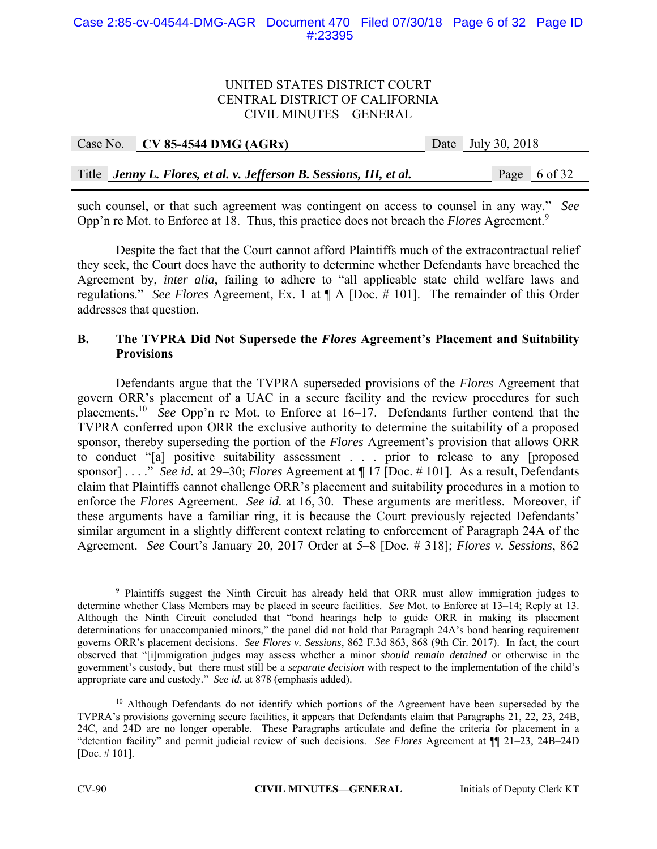|  | Case No. $\vert$ CV 85-4544 DMG (AGRx)                              | Date July 30, 2018 |
|--|---------------------------------------------------------------------|--------------------|
|  |                                                                     |                    |
|  | Title Jenny L. Flores, et al. v. Jefferson B. Sessions, III, et al. | Page 6 of 32       |

such counsel, or that such agreement was contingent on access to counsel in any way." *See* Opp'n re Mot. to Enforce at 18. Thus, this practice does not breach the *Flores* Agreement.<sup>9</sup>

 Despite the fact that the Court cannot afford Plaintiffs much of the extracontractual relief they seek, the Court does have the authority to determine whether Defendants have breached the Agreement by, *inter alia*, failing to adhere to "all applicable state child welfare laws and regulations." *See Flores* Agreement, Ex. 1 at ¶ A [Doc. # 101]. The remainder of this Order addresses that question.

## **B. The TVPRA Did Not Supersede the** *Flores* **Agreement's Placement and Suitability Provisions**

 Defendants argue that the TVPRA superseded provisions of the *Flores* Agreement that govern ORR's placement of a UAC in a secure facility and the review procedures for such placements.10 *See* Opp'n re Mot. to Enforce at 16–17. Defendants further contend that the TVPRA conferred upon ORR the exclusive authority to determine the suitability of a proposed sponsor, thereby superseding the portion of the *Flores* Agreement's provision that allows ORR to conduct "[a] positive suitability assessment . . . prior to release to any [proposed sponsor] . . . ." *See id.* at 29–30; *Flores* Agreement at ¶ 17 [Doc. # 101]. As a result, Defendants claim that Plaintiffs cannot challenge ORR's placement and suitability procedures in a motion to enforce the *Flores* Agreement. *See id.* at 16, 30. These arguments are meritless. Moreover, if these arguments have a familiar ring, it is because the Court previously rejected Defendants' similar argument in a slightly different context relating to enforcement of Paragraph 24A of the Agreement. *See* Court's January 20, 2017 Order at 5–8 [Doc. # 318]; *Flores v. Sessions*, 862

 $\frac{1}{\sqrt{9}}$ <sup>9</sup> Plaintiffs suggest the Ninth Circuit has already held that ORR must allow immigration judges to determine whether Class Members may be placed in secure facilities. *See* Mot. to Enforce at 13–14; Reply at 13. Although the Ninth Circuit concluded that "bond hearings help to guide ORR in making its placement determinations for unaccompanied minors," the panel did not hold that Paragraph 24A's bond hearing requirement governs ORR's placement decisions. *See Flores v. Sessions*, 862 F.3d 863, 868 (9th Cir. 2017). In fact, the court observed that "[i]mmigration judges may assess whether a minor *should remain detained* or otherwise in the government's custody, but there must still be a *separate decision* with respect to the implementation of the child's appropriate care and custody." *See id.* at 878 (emphasis added).

<sup>&</sup>lt;sup>10</sup> Although Defendants do not identify which portions of the Agreement have been superseded by the TVPRA's provisions governing secure facilities, it appears that Defendants claim that Paragraphs 21, 22, 23, 24B, 24C, and 24D are no longer operable. These Paragraphs articulate and define the criteria for placement in a "detention facility" and permit judicial review of such decisions. *See Flores* Agreement at ¶¶ 21–23, 24B–24D [Doc. # 101].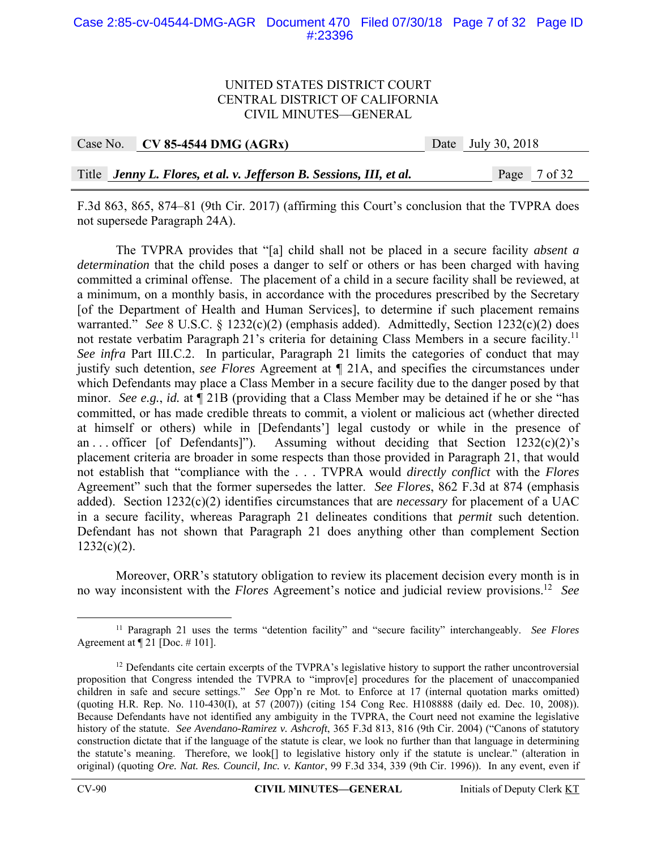#### Case 2:85-cv-04544-DMG-AGR Document 470 Filed 07/30/18 Page 7 of 32 Page ID #:23396

#### UNITED STATES DISTRICT COURT CENTRAL DISTRICT OF CALIFORNIA CIVIL MINUTES—GENERAL

| Case No. $\vert$ CV 85-4544 DMG (AGRx)                              | Date July 30, 2018 |
|---------------------------------------------------------------------|--------------------|
|                                                                     |                    |
| Title Jenny L. Flores, et al. v. Jefferson B. Sessions, III, et al. | Page 7 of 32       |

F.3d 863, 865, 874–81 (9th Cir. 2017) (affirming this Court's conclusion that the TVPRA does not supersede Paragraph 24A).

 The TVPRA provides that "[a] child shall not be placed in a secure facility *absent a determination* that the child poses a danger to self or others or has been charged with having committed a criminal offense. The placement of a child in a secure facility shall be reviewed, at a minimum, on a monthly basis, in accordance with the procedures prescribed by the Secretary [of the Department of Health and Human Services], to determine if such placement remains warranted." *See* 8 U.S.C. § 1232(c)(2) (emphasis added). Admittedly, Section 1232(c)(2) does not restate verbatim Paragraph 21's criteria for detaining Class Members in a secure facility.<sup>11</sup> *See infra* Part III.C.2. In particular, Paragraph 21 limits the categories of conduct that may justify such detention, *see Flores* Agreement at ¶ 21A, and specifies the circumstances under which Defendants may place a Class Member in a secure facility due to the danger posed by that minor. *See e.g.*, *id.* at ¶ 21B (providing that a Class Member may be detained if he or she "has committed, or has made credible threats to commit, a violent or malicious act (whether directed at himself or others) while in [Defendants'] legal custody or while in the presence of an ... officer [of Defendants]"). Assuming without deciding that Section  $1232(c)(2)$ 's placement criteria are broader in some respects than those provided in Paragraph 21, that would not establish that "compliance with the . . . TVPRA would *directly conflict* with the *Flores* Agreement" such that the former supersedes the latter. *See Flores*, 862 F.3d at 874 (emphasis added). Section 1232(c)(2) identifies circumstances that are *necessary* for placement of a UAC in a secure facility, whereas Paragraph 21 delineates conditions that *permit* such detention. Defendant has not shown that Paragraph 21 does anything other than complement Section  $1232(c)(2)$ .

Moreover, ORR's statutory obligation to review its placement decision every month is in no way inconsistent with the *Flores* Agreement's notice and judicial review provisions.12 *See*

 <sup>11</sup> Paragraph 21 uses the terms "detention facility" and "secure facility" interchangeably. *See Flores* Agreement at ¶ 21 [Doc. # 101].

<sup>&</sup>lt;sup>12</sup> Defendants cite certain excerpts of the TVPRA's legislative history to support the rather uncontroversial proposition that Congress intended the TVPRA to "improv[e] procedures for the placement of unaccompanied children in safe and secure settings." *See* Opp'n re Mot. to Enforce at 17 (internal quotation marks omitted) (quoting H.R. Rep. No. 110-430(I), at 57 (2007)) (citing 154 Cong Rec. H108888 (daily ed. Dec. 10, 2008)). Because Defendants have not identified any ambiguity in the TVPRA, the Court need not examine the legislative history of the statute. *See Avendano-Ramirez v. Ashcroft*, 365 F.3d 813, 816 (9th Cir. 2004) ("Canons of statutory construction dictate that if the language of the statute is clear, we look no further than that language in determining the statute's meaning. Therefore, we look[] to legislative history only if the statute is unclear." (alteration in original) (quoting *Ore. Nat. Res. Council, Inc. v. Kantor*, 99 F.3d 334, 339 (9th Cir. 1996)). In any event, even if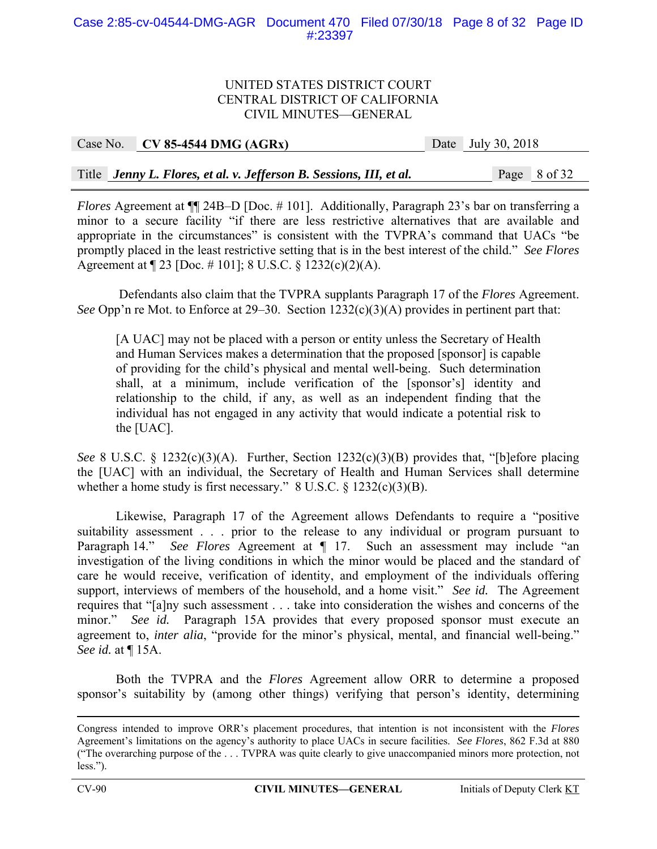### Case 2:85-cv-04544-DMG-AGR Document 470 Filed 07/30/18 Page 8 of 32 Page ID #:23397

#### UNITED STATES DISTRICT COURT CENTRAL DISTRICT OF CALIFORNIA CIVIL MINUTES—GENERAL

| Case No. CV 85-4544 DMG $(AGRx)$                                    | Date July 30, 2018 |
|---------------------------------------------------------------------|--------------------|
|                                                                     |                    |
| Title Jenny L. Flores, et al. v. Jefferson B. Sessions, III, et al. | Page 8 of 32       |

*Flores* Agreement at  $\P$  24B–D [Doc. # 101]. Additionally, Paragraph 23's bar on transferring a minor to a secure facility "if there are less restrictive alternatives that are available and appropriate in the circumstances" is consistent with the TVPRA's command that UACs "be promptly placed in the least restrictive setting that is in the best interest of the child." *See Flores* Agreement at ¶ 23 [Doc. # 101]; 8 U.S.C. § 1232(c)(2)(A).

 Defendants also claim that the TVPRA supplants Paragraph 17 of the *Flores* Agreement. *See* Opp'n re Mot. to Enforce at 29–30. Section 1232(c)(3)(A) provides in pertinent part that:

[A UAC] may not be placed with a person or entity unless the Secretary of Health and Human Services makes a determination that the proposed [sponsor] is capable of providing for the child's physical and mental well-being. Such determination shall, at a minimum, include verification of the [sponsor's] identity and relationship to the child, if any, as well as an independent finding that the individual has not engaged in any activity that would indicate a potential risk to the [UAC].

*See* 8 U.S.C. § 1232(c)(3)(A). Further, Section 1232(c)(3)(B) provides that, "[b]efore placing the [UAC] with an individual, the Secretary of Health and Human Services shall determine whether a home study is first necessary." 8 U.S.C. § 1232(c)(3)(B).

Likewise, Paragraph 17 of the Agreement allows Defendants to require a "positive suitability assessment . . . prior to the release to any individual or program pursuant to Paragraph 14." *See Flores* Agreement at ¶ 17. Such an assessment may include "an investigation of the living conditions in which the minor would be placed and the standard of care he would receive, verification of identity, and employment of the individuals offering support, interviews of members of the household, and a home visit." *See id.* The Agreement requires that "[a]ny such assessment . . . take into consideration the wishes and concerns of the minor." *See id.* Paragraph 15A provides that every proposed sponsor must execute an agreement to, *inter alia*, "provide for the minor's physical, mental, and financial well-being." *See id.* at ¶ 15A.

Both the TVPRA and the *Flores* Agreement allow ORR to determine a proposed sponsor's suitability by (among other things) verifying that person's identity, determining

Congress intended to improve ORR's placement procedures, that intention is not inconsistent with the *Flores* Agreement's limitations on the agency's authority to place UACs in secure facilities. *See Flores*, 862 F.3d at 880 ("The overarching purpose of the . . . TVPRA was quite clearly to give unaccompanied minors more protection, not less.").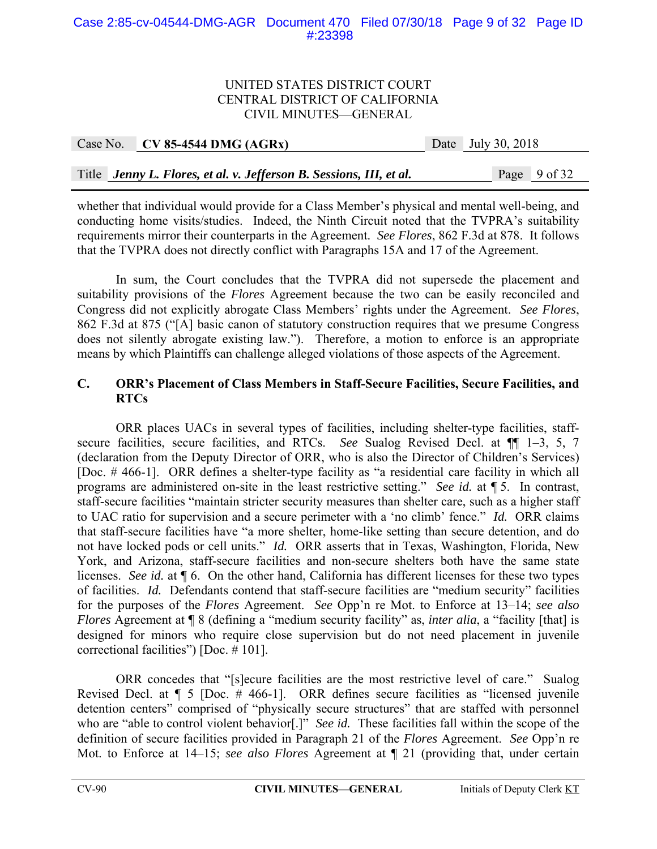#### Case 2:85-cv-04544-DMG-AGR Document 470 Filed 07/30/18 Page 9 of 32 Page ID #:23398

#### UNITED STATES DISTRICT COURT CENTRAL DISTRICT OF CALIFORNIA CIVIL MINUTES—GENERAL

| Case No. CV 85-4544 DMG (AGRx)                                      | Date July 30, 2018 |
|---------------------------------------------------------------------|--------------------|
|                                                                     |                    |
| Title Jenny L. Flores, et al. v. Jefferson B. Sessions, III, et al. | Page 9 of 32       |

whether that individual would provide for a Class Member's physical and mental well-being, and conducting home visits/studies. Indeed, the Ninth Circuit noted that the TVPRA's suitability requirements mirror their counterparts in the Agreement. *See Flores*, 862 F.3d at 878. It follows that the TVPRA does not directly conflict with Paragraphs 15A and 17 of the Agreement.

 In sum, the Court concludes that the TVPRA did not supersede the placement and suitability provisions of the *Flores* Agreement because the two can be easily reconciled and Congress did not explicitly abrogate Class Members' rights under the Agreement. *See Flores*, 862 F.3d at 875 ("[A] basic canon of statutory construction requires that we presume Congress does not silently abrogate existing law."). Therefore, a motion to enforce is an appropriate means by which Plaintiffs can challenge alleged violations of those aspects of the Agreement.

## **C. ORR's Placement of Class Members in Staff-Secure Facilities, Secure Facilities, and RTCs**

ORR places UACs in several types of facilities, including shelter-type facilities, staffsecure facilities, secure facilities, and RTCs. *See* Sualog Revised Decl. at ¶¶ 1–3, 5, 7 (declaration from the Deputy Director of ORR, who is also the Director of Children's Services) [Doc. # 466-1]. ORR defines a shelter-type facility as "a residential care facility in which all programs are administered on-site in the least restrictive setting." *See id.* at ¶ 5. In contrast, staff-secure facilities "maintain stricter security measures than shelter care, such as a higher staff to UAC ratio for supervision and a secure perimeter with a 'no climb' fence." *Id.* ORR claims that staff-secure facilities have "a more shelter, home-like setting than secure detention, and do not have locked pods or cell units." *Id.* ORR asserts that in Texas, Washington, Florida, New York, and Arizona, staff-secure facilities and non-secure shelters both have the same state licenses. *See id.* at ¶ 6. On the other hand, California has different licenses for these two types of facilities. *Id.* Defendants contend that staff-secure facilities are "medium security" facilities for the purposes of the *Flores* Agreement. *See* Opp'n re Mot. to Enforce at 13–14; *see also Flores* Agreement at  $\P$  8 (defining a "medium security facility" as, *inter alia*, a "facility [that] is designed for minors who require close supervision but do not need placement in juvenile correctional facilities") [Doc. # 101].

 ORR concedes that "[s]ecure facilities are the most restrictive level of care." Sualog Revised Decl. at ¶ 5 [Doc. # 466-1]. ORR defines secure facilities as "licensed juvenile detention centers" comprised of "physically secure structures" that are staffed with personnel who are "able to control violent behavior<sup>[1]</sup>. *See id.* These facilities fall within the scope of the definition of secure facilities provided in Paragraph 21 of the *Flores* Agreement. *See* Opp'n re Mot. to Enforce at 14–15; *see also Flores* Agreement at  $\P$  21 (providing that, under certain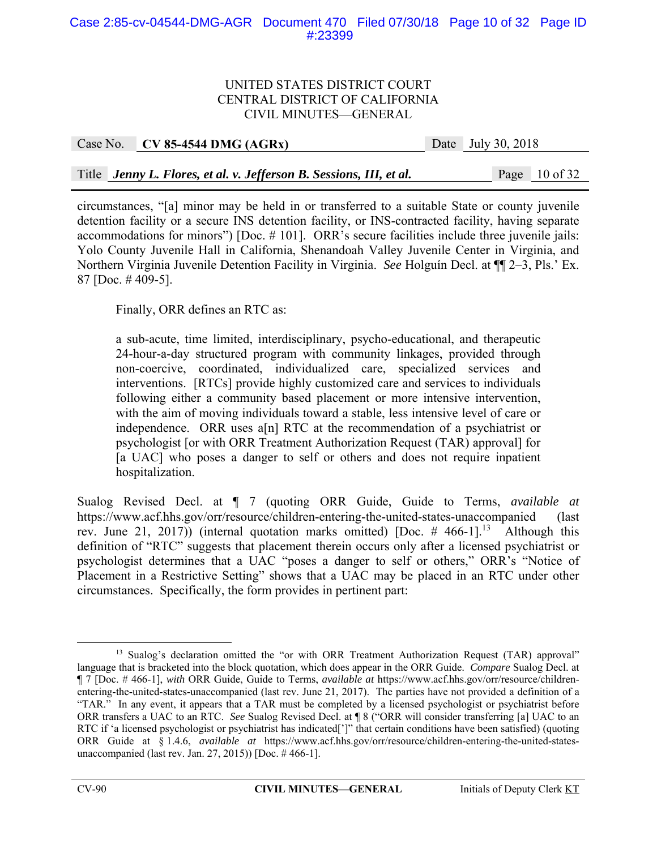| Case No. CV 85-4544 DMG $(AGRx)$                                    | Date July 30, 2018 |                 |
|---------------------------------------------------------------------|--------------------|-----------------|
|                                                                     |                    |                 |
| Title Jenny L. Flores, et al. v. Jefferson B. Sessions, III, et al. |                    | Page $10$ of 32 |

circumstances, "[a] minor may be held in or transferred to a suitable State or county juvenile detention facility or a secure INS detention facility, or INS-contracted facility, having separate accommodations for minors") [Doc. # 101]. ORR's secure facilities include three juvenile jails: Yolo County Juvenile Hall in California, Shenandoah Valley Juvenile Center in Virginia, and Northern Virginia Juvenile Detention Facility in Virginia. *See* Holguín Decl. at ¶¶ 2–3, Pls.' Ex. 87 [Doc. # 409-5].

Finally, ORR defines an RTC as:

a sub-acute, time limited, interdisciplinary, psycho-educational, and therapeutic 24-hour-a-day structured program with community linkages, provided through non-coercive, coordinated, individualized care, specialized services and interventions. [RTCs] provide highly customized care and services to individuals following either a community based placement or more intensive intervention, with the aim of moving individuals toward a stable, less intensive level of care or independence. ORR uses a[n] RTC at the recommendation of a psychiatrist or psychologist [or with ORR Treatment Authorization Request (TAR) approval] for [a UAC] who poses a danger to self or others and does not require inpatient hospitalization.

Sualog Revised Decl. at ¶ 7 (quoting ORR Guide, Guide to Terms, *available at* https://www.acf.hhs.gov/orr/resource/children-entering-the-united-states-unaccompanied (last rev. June 21, 2017)) (internal quotation marks omitted) [Doc.  $\#$  466-1]<sup>13</sup> Although this definition of "RTC" suggests that placement therein occurs only after a licensed psychiatrist or psychologist determines that a UAC "poses a danger to self or others," ORR's "Notice of Placement in a Restrictive Setting" shows that a UAC may be placed in an RTC under other circumstances. Specifically, the form provides in pertinent part:

<sup>&</sup>lt;sup>13</sup> Sualog's declaration omitted the "or with ORR Treatment Authorization Request (TAR) approval" language that is bracketed into the block quotation, which does appear in the ORR Guide. *Compare* Sualog Decl. at ¶ 7 [Doc. # 466-1], *with* ORR Guide, Guide to Terms, *available at* https://www.acf.hhs.gov/orr/resource/childrenentering-the-united-states-unaccompanied (last rev. June 21, 2017). The parties have not provided a definition of a "TAR." In any event, it appears that a TAR must be completed by a licensed psychologist or psychiatrist before ORR transfers a UAC to an RTC. *See* Sualog Revised Decl. at ¶ 8 ("ORR will consider transferring [a] UAC to an RTC if 'a licensed psychologist or psychiatrist has indicated[']" that certain conditions have been satisfied) (quoting ORR Guide at § 1.4.6, *available at* https://www.acf.hhs.gov/orr/resource/children-entering-the-united-statesunaccompanied (last rev. Jan. 27, 2015)) [Doc. # 466-1].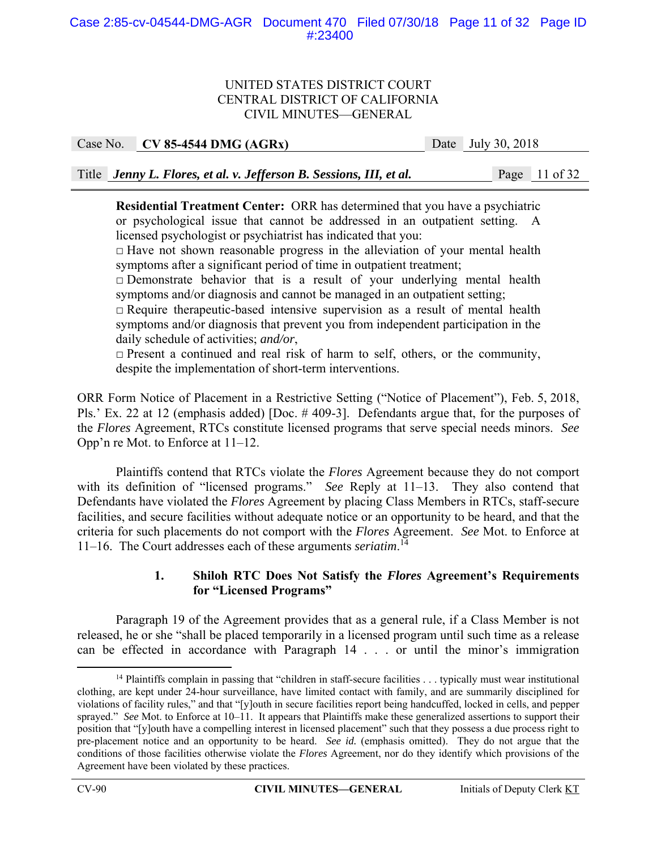### Case 2:85-cv-04544-DMG-AGR Document 470 Filed 07/30/18 Page 11 of 32 Page ID #:23400

#### UNITED STATES DISTRICT COURT CENTRAL DISTRICT OF CALIFORNIA CIVIL MINUTES—GENERAL

Case No. **CV 85-4544 DMG (AGRx)** Date July 30, 2018

Title *Jenny L. Flores, et al. v. Jefferson B. Sessions, III, et al.* Page 11 of 32

**Residential Treatment Center:** ORR has determined that you have a psychiatric or psychological issue that cannot be addressed in an outpatient setting. A licensed psychologist or psychiatrist has indicated that you:

 $\Box$  Have not shown reasonable progress in the alleviation of your mental health symptoms after a significant period of time in outpatient treatment;

 $\Box$  Demonstrate behavior that is a result of your underlying mental health symptoms and/or diagnosis and cannot be managed in an outpatient setting;

 $\Box$  Require therapeutic-based intensive supervision as a result of mental health symptoms and/or diagnosis that prevent you from independent participation in the daily schedule of activities; *and/or*,

□ Present a continued and real risk of harm to self, others, or the community, despite the implementation of short-term interventions.

ORR Form Notice of Placement in a Restrictive Setting ("Notice of Placement"), Feb. 5, 2018, Pls.' Ex. 22 at 12 (emphasis added) [Doc. # 409-3]. Defendants argue that, for the purposes of the *Flores* Agreement, RTCs constitute licensed programs that serve special needs minors. *See* Opp'n re Mot. to Enforce at 11–12.

 Plaintiffs contend that RTCs violate the *Flores* Agreement because they do not comport with its definition of "licensed programs." *See* Reply at 11–13. They also contend that Defendants have violated the *Flores* Agreement by placing Class Members in RTCs, staff-secure facilities, and secure facilities without adequate notice or an opportunity to be heard, and that the criteria for such placements do not comport with the *Flores* Agreement. *See* Mot. to Enforce at 11–16. The Court addresses each of these arguments *seriatim*. 14

## **1. Shiloh RTC Does Not Satisfy the** *Flores* **Agreement's Requirements for "Licensed Programs"**

 Paragraph 19 of the Agreement provides that as a general rule, if a Class Member is not released, he or she "shall be placed temporarily in a licensed program until such time as a release can be effected in accordance with Paragraph 14 . . . or until the minor's immigration

<sup>&</sup>lt;sup>14</sup> Plaintiffs complain in passing that "children in staff-secure facilities . . . typically must wear institutional clothing, are kept under 24-hour surveillance, have limited contact with family, and are summarily disciplined for violations of facility rules," and that "[y]outh in secure facilities report being handcuffed, locked in cells, and pepper sprayed." *See* Mot. to Enforce at 10–11. It appears that Plaintiffs make these generalized assertions to support their position that "[y]outh have a compelling interest in licensed placement" such that they possess a due process right to pre-placement notice and an opportunity to be heard. *See id.* (emphasis omitted). They do not argue that the conditions of those facilities otherwise violate the *Flores* Agreement, nor do they identify which provisions of the Agreement have been violated by these practices.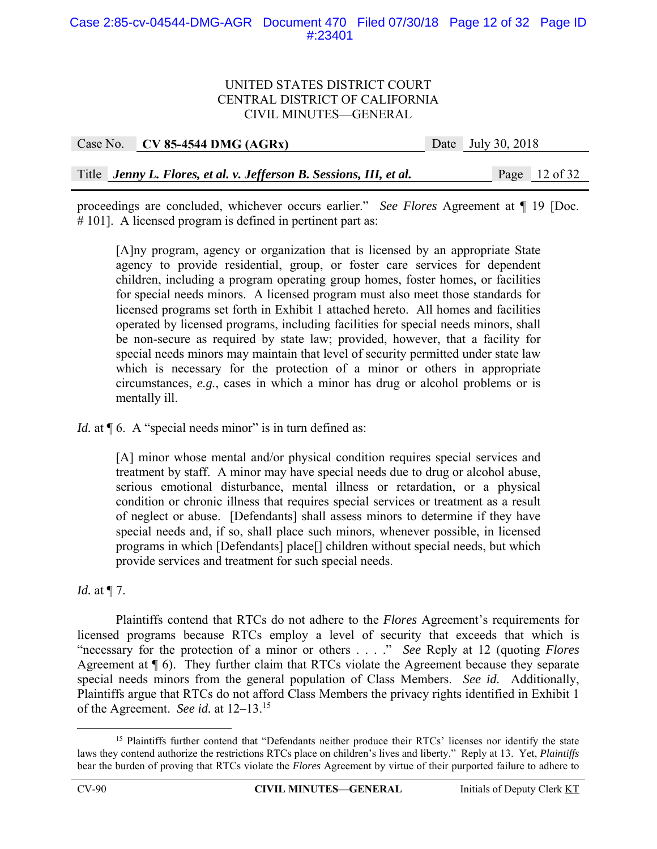#### Case 2:85-cv-04544-DMG-AGR Document 470 Filed 07/30/18 Page 12 of 32 Page ID #:23401

#### UNITED STATES DISTRICT COURT CENTRAL DISTRICT OF CALIFORNIA CIVIL MINUTES—GENERAL

| Case No. CV 85-4544 DMG $(AGRx)$                                    | Date July 30, 2018 |                 |
|---------------------------------------------------------------------|--------------------|-----------------|
|                                                                     |                    |                 |
| Title Jenny L. Flores, et al. v. Jefferson B. Sessions, III, et al. |                    | Page $12$ of 32 |

proceedings are concluded, whichever occurs earlier." *See Flores* Agreement at ¶ 19 [Doc. # 101]. A licensed program is defined in pertinent part as:

[A]ny program, agency or organization that is licensed by an appropriate State agency to provide residential, group, or foster care services for dependent children, including a program operating group homes, foster homes, or facilities for special needs minors. A licensed program must also meet those standards for licensed programs set forth in Exhibit 1 attached hereto. All homes and facilities operated by licensed programs, including facilities for special needs minors, shall be non-secure as required by state law; provided, however, that a facility for special needs minors may maintain that level of security permitted under state law which is necessary for the protection of a minor or others in appropriate circumstances, *e.g.*, cases in which a minor has drug or alcohol problems or is mentally ill.

*Id.* at  $\P$  6. A "special needs minor" is in turn defined as:

[A] minor whose mental and/or physical condition requires special services and treatment by staff. A minor may have special needs due to drug or alcohol abuse, serious emotional disturbance, mental illness or retardation, or a physical condition or chronic illness that requires special services or treatment as a result of neglect or abuse. [Defendants] shall assess minors to determine if they have special needs and, if so, shall place such minors, whenever possible, in licensed programs in which [Defendants] place[] children without special needs, but which provide services and treatment for such special needs.

*Id.* at ¶ 7.

 Plaintiffs contend that RTCs do not adhere to the *Flores* Agreement's requirements for licensed programs because RTCs employ a level of security that exceeds that which is "necessary for the protection of a minor or others . . . ." *See* Reply at 12 (quoting *Flores* Agreement at ¶ 6). They further claim that RTCs violate the Agreement because they separate special needs minors from the general population of Class Members. *See id.* Additionally, Plaintiffs argue that RTCs do not afford Class Members the privacy rights identified in Exhibit 1 of the Agreement. *See id.* at 12–13.15

<sup>&</sup>lt;sup>15</sup> Plaintiffs further contend that "Defendants neither produce their RTCs' licenses nor identify the state laws they contend authorize the restrictions RTCs place on children's lives and liberty." Reply at 13. Yet, *Plaintiffs* bear the burden of proving that RTCs violate the *Flores* Agreement by virtue of their purported failure to adhere to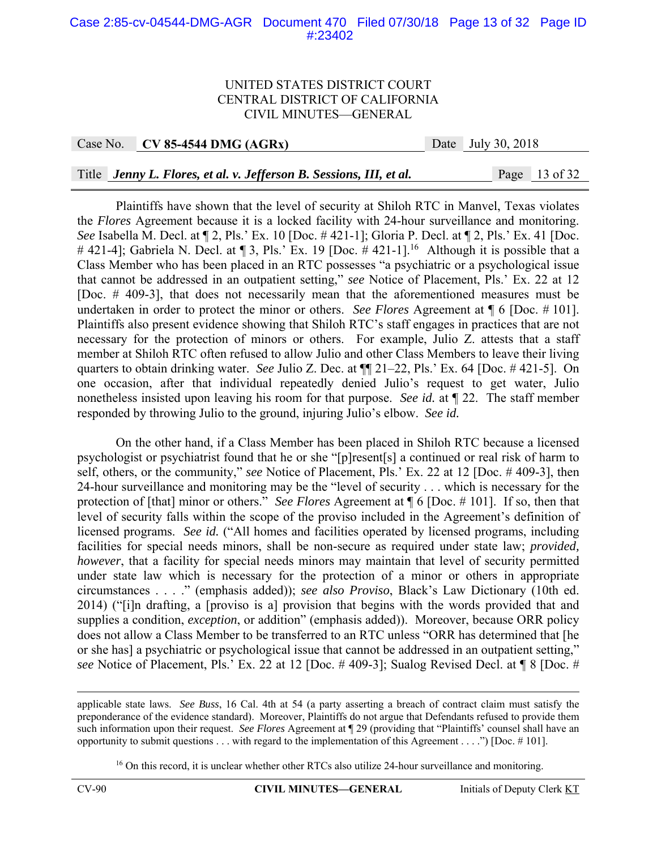#### Case 2:85-cv-04544-DMG-AGR Document 470 Filed 07/30/18 Page 13 of 32 Page ID #:23402

#### UNITED STATES DISTRICT COURT CENTRAL DISTRICT OF CALIFORNIA CIVIL MINUTES—GENERAL

Case No. **CV 85-4544 DMG (AGRx)** Date July 30, 2018

#### Title *Jenny L. Flores, et al. v. Jefferson B. Sessions, III, et al.* Page 13 of 32

Plaintiffs have shown that the level of security at Shiloh RTC in Manvel, Texas violates the *Flores* Agreement because it is a locked facility with 24-hour surveillance and monitoring. *See* Isabella M. Decl. at ¶ 2, Pls.' Ex. 10 [Doc. # 421-1]; Gloria P. Decl. at ¶ 2, Pls.' Ex. 41 [Doc. # 421-4]; Gabriela N. Decl. at  $\P$  3, Pls.' Ex. 19 [Doc. # 421-1].<sup>16</sup> Although it is possible that a Class Member who has been placed in an RTC possesses "a psychiatric or a psychological issue that cannot be addressed in an outpatient setting," *see* Notice of Placement, Pls.' Ex. 22 at 12 [Doc. # 409-3], that does not necessarily mean that the aforementioned measures must be undertaken in order to protect the minor or others. *See Flores* Agreement at ¶ 6 [Doc. # 101]. Plaintiffs also present evidence showing that Shiloh RTC's staff engages in practices that are not necessary for the protection of minors or others. For example, Julio Z. attests that a staff member at Shiloh RTC often refused to allow Julio and other Class Members to leave their living quarters to obtain drinking water. *See* Julio Z. Dec. at ¶¶ 21–22, Pls.' Ex. 64 [Doc. # 421-5]. On one occasion, after that individual repeatedly denied Julio's request to get water, Julio nonetheless insisted upon leaving his room for that purpose. *See id.* at ¶ 22. The staff member responded by throwing Julio to the ground, injuring Julio's elbow. *See id.*

On the other hand, if a Class Member has been placed in Shiloh RTC because a licensed psychologist or psychiatrist found that he or she "[p]resent[s] a continued or real risk of harm to self, others, or the community," *see* Notice of Placement, Pls.' Ex. 22 at 12 [Doc. # 409-3], then 24-hour surveillance and monitoring may be the "level of security . . . which is necessary for the protection of [that] minor or others." *See Flores* Agreement at ¶ 6 [Doc. # 101]. If so, then that level of security falls within the scope of the proviso included in the Agreement's definition of licensed programs. *See id.* ("All homes and facilities operated by licensed programs, including facilities for special needs minors, shall be non-secure as required under state law; *provided, however*, that a facility for special needs minors may maintain that level of security permitted under state law which is necessary for the protection of a minor or others in appropriate circumstances . . . ." (emphasis added)); *see also Proviso*, Black's Law Dictionary (10th ed. 2014) ("[i]n drafting, a [proviso is a] provision that begins with the words provided that and supplies a condition, *exception*, or addition" (emphasis added)). Moreover, because ORR policy does not allow a Class Member to be transferred to an RTC unless "ORR has determined that [he or she has] a psychiatric or psychological issue that cannot be addressed in an outpatient setting," *see* Notice of Placement, Pls.' Ex. 22 at 12 [Doc. # 409-3]; Sualog Revised Decl. at ¶ 8 [Doc. #

applicable state laws. *See Buss*, 16 Cal. 4th at 54 (a party asserting a breach of contract claim must satisfy the preponderance of the evidence standard). Moreover, Plaintiffs do not argue that Defendants refused to provide them such information upon their request. *See Flores* Agreement at ¶ 29 (providing that "Plaintiffs' counsel shall have an opportunity to submit questions  $\dots$  with regard to the implementation of this Agreement  $\dots$ .") [Doc. #101].

<sup>&</sup>lt;sup>16</sup> On this record, it is unclear whether other RTCs also utilize 24-hour surveillance and monitoring.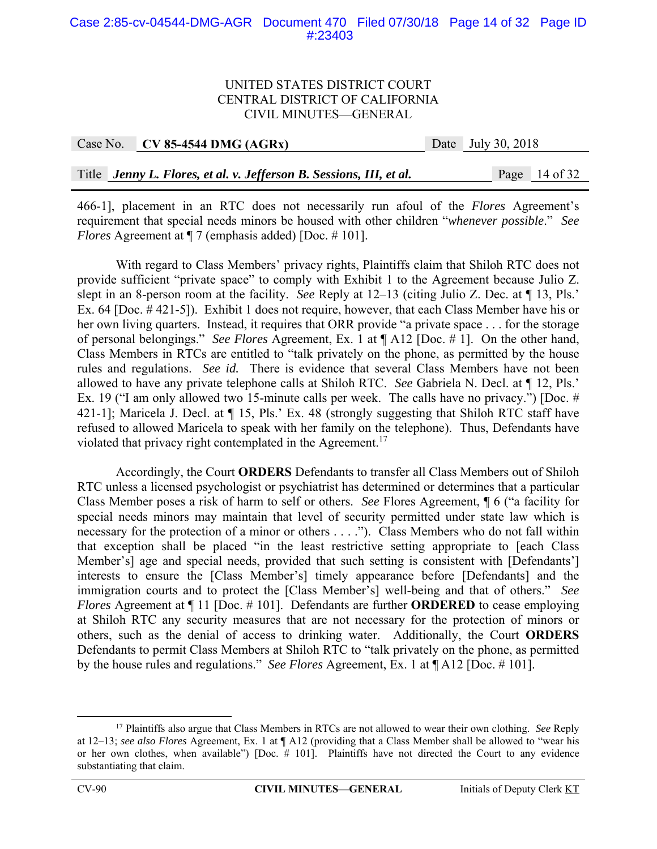#### Case 2:85-cv-04544-DMG-AGR Document 470 Filed 07/30/18 Page 14 of 32 Page ID #:23403

#### UNITED STATES DISTRICT COURT CENTRAL DISTRICT OF CALIFORNIA CIVIL MINUTES—GENERAL

| Case No. | $CV 85-4544 DMG (AGRx)$ |  | Date July 30, 2018 |
|----------|-------------------------|--|--------------------|
|          |                         |  |                    |

Title *Jenny L. Flores, et al. v. Jefferson B. Sessions, III, et al.* Page 14 of 32

466-1], placement in an RTC does not necessarily run afoul of the *Flores* Agreement's requirement that special needs minors be housed with other children "*whenever possible*." *See Flores* Agreement at  $\P$  7 (emphasis added) [Doc. #101].

 With regard to Class Members' privacy rights, Plaintiffs claim that Shiloh RTC does not provide sufficient "private space" to comply with Exhibit 1 to the Agreement because Julio Z. slept in an 8-person room at the facility. *See* Reply at 12–13 (citing Julio Z. Dec. at ¶ 13, Pls.' Ex. 64 [Doc. # 421-5]). Exhibit 1 does not require, however, that each Class Member have his or her own living quarters. Instead, it requires that ORR provide "a private space . . . for the storage of personal belongings." *See Flores* Agreement, Ex. 1 at ¶ A12 [Doc. # 1]. On the other hand, Class Members in RTCs are entitled to "talk privately on the phone, as permitted by the house rules and regulations. *See id.* There is evidence that several Class Members have not been allowed to have any private telephone calls at Shiloh RTC. *See* Gabriela N. Decl. at ¶ 12, Pls.' Ex. 19 ("I am only allowed two 15-minute calls per week. The calls have no privacy.") [Doc. # 421-1]; Maricela J. Decl. at  $\P$  15, Pls.' Ex. 48 (strongly suggesting that Shiloh RTC staff have refused to allowed Maricela to speak with her family on the telephone). Thus, Defendants have violated that privacy right contemplated in the Agreement.<sup>17</sup>

 Accordingly, the Court **ORDERS** Defendants to transfer all Class Members out of Shiloh RTC unless a licensed psychologist or psychiatrist has determined or determines that a particular Class Member poses a risk of harm to self or others. *See* Flores Agreement, ¶ 6 ("a facility for special needs minors may maintain that level of security permitted under state law which is necessary for the protection of a minor or others . . . ."). Class Members who do not fall within that exception shall be placed "in the least restrictive setting appropriate to [each Class Member's] age and special needs, provided that such setting is consistent with [Defendants'] interests to ensure the [Class Member's] timely appearance before [Defendants] and the immigration courts and to protect the [Class Member's] well-being and that of others." *See Flores* Agreement at  $\P$  11 [Doc. # 101]. Defendants are further **ORDERED** to cease employing at Shiloh RTC any security measures that are not necessary for the protection of minors or others, such as the denial of access to drinking water. Additionally, the Court **ORDERS** Defendants to permit Class Members at Shiloh RTC to "talk privately on the phone, as permitted by the house rules and regulations." *See Flores* Agreement, Ex. 1 at ¶ A12 [Doc. # 101].

 <sup>17</sup> Plaintiffs also argue that Class Members in RTCs are not allowed to wear their own clothing. *See* Reply at 12–13; *see also Flores* Agreement, Ex. 1 at ¶ A12 (providing that a Class Member shall be allowed to "wear his or her own clothes, when available") [Doc. # 101]. Plaintiffs have not directed the Court to any evidence substantiating that claim.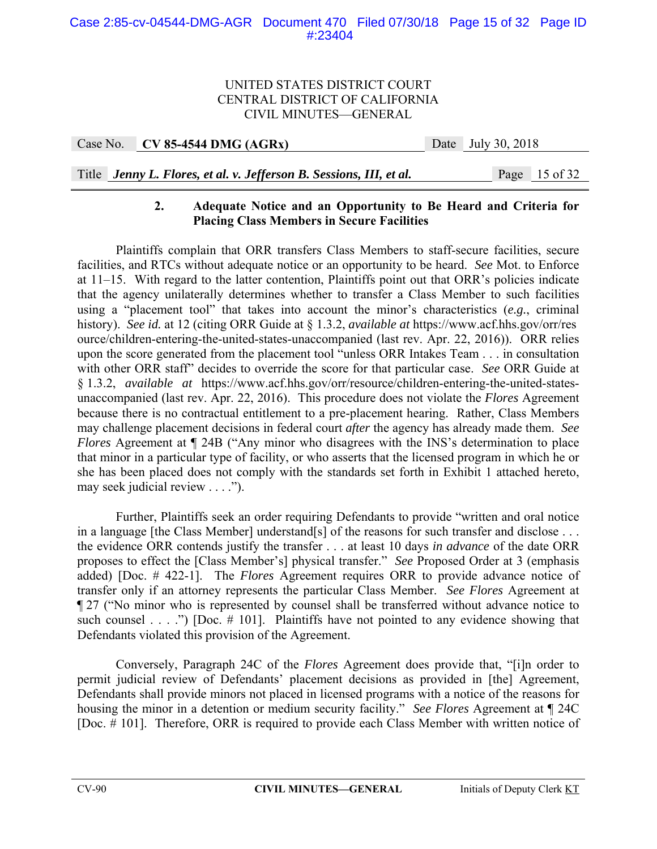| Case No. CV 85-4544 DMG $(AGRx)$ |  | Date July 30, 2018 |
|----------------------------------|--|--------------------|
|                                  |  |                    |

# Title *Jenny L. Flores, et al. v. Jefferson B. Sessions, III, et al.* Page 15 of 32

## **2. Adequate Notice and an Opportunity to Be Heard and Criteria for Placing Class Members in Secure Facilities**

 Plaintiffs complain that ORR transfers Class Members to staff-secure facilities, secure facilities, and RTCs without adequate notice or an opportunity to be heard. *See* Mot. to Enforce at 11–15. With regard to the latter contention, Plaintiffs point out that ORR's policies indicate that the agency unilaterally determines whether to transfer a Class Member to such facilities using a "placement tool" that takes into account the minor's characteristics (*e.g.*, criminal history). *See id.* at 12 (citing ORR Guide at § 1.3.2, *available at* https://www.acf.hhs.gov/orr/res ource/children-entering-the-united-states-unaccompanied (last rev. Apr. 22, 2016)). ORR relies upon the score generated from the placement tool "unless ORR Intakes Team . . . in consultation with other ORR staff" decides to override the score for that particular case. *See* ORR Guide at § 1.3.2, *available at* https://www.acf.hhs.gov/orr/resource/children-entering-the-united-statesunaccompanied (last rev. Apr. 22, 2016). This procedure does not violate the *Flores* Agreement because there is no contractual entitlement to a pre-placement hearing. Rather, Class Members may challenge placement decisions in federal court *after* the agency has already made them. *See Flores* Agreement at  $\P$  24B ("Any minor who disagrees with the INS's determination to place that minor in a particular type of facility, or who asserts that the licensed program in which he or she has been placed does not comply with the standards set forth in Exhibit 1 attached hereto, may seek judicial review . . . .").

 Further, Plaintiffs seek an order requiring Defendants to provide "written and oral notice in a language [the Class Member] understand[s] of the reasons for such transfer and disclose . . . the evidence ORR contends justify the transfer . . . at least 10 days *in advance* of the date ORR proposes to effect the [Class Member's] physical transfer." *See* Proposed Order at 3 (emphasis added) [Doc. # 422-1]. The *Flores* Agreement requires ORR to provide advance notice of transfer only if an attorney represents the particular Class Member. *See Flores* Agreement at ¶ 27 ("No minor who is represented by counsel shall be transferred without advance notice to such counsel . . . .") [Doc.  $\#$  101]. Plaintiffs have not pointed to any evidence showing that Defendants violated this provision of the Agreement.

 Conversely, Paragraph 24C of the *Flores* Agreement does provide that, "[i]n order to permit judicial review of Defendants' placement decisions as provided in [the] Agreement, Defendants shall provide minors not placed in licensed programs with a notice of the reasons for housing the minor in a detention or medium security facility." *See Flores* Agreement at ¶ 24C [Doc. # 101]. Therefore, ORR is required to provide each Class Member with written notice of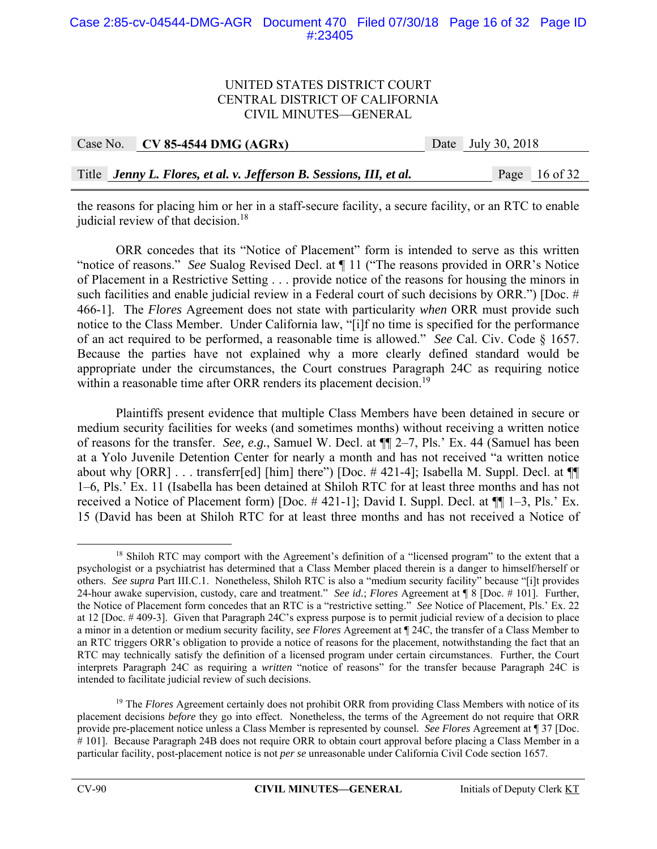#### Case 2:85-cv-04544-DMG-AGR Document 470 Filed 07/30/18 Page 16 of 32 Page ID #:23405

#### UNITED STATES DISTRICT COURT CENTRAL DISTRICT OF CALIFORNIA CIVIL MINUTES—GENERAL

| Case No. $\vert$ CV 85-4544 DMG (AGRx)                              | Date July 30, 2018 |                 |
|---------------------------------------------------------------------|--------------------|-----------------|
|                                                                     |                    |                 |
| Title Jenny L. Flores, et al. v. Jefferson B. Sessions, III, et al. |                    | Page $16$ of 32 |

the reasons for placing him or her in a staff-secure facility, a secure facility, or an RTC to enable judicial review of that decision.<sup>18</sup>

ORR concedes that its "Notice of Placement" form is intended to serve as this written "notice of reasons." *See* Sualog Revised Decl. at ¶ 11 ("The reasons provided in ORR's Notice of Placement in a Restrictive Setting . . . provide notice of the reasons for housing the minors in such facilities and enable judicial review in a Federal court of such decisions by ORR.") [Doc. # 466-1]. The *Flores* Agreement does not state with particularity *when* ORR must provide such notice to the Class Member. Under California law, "[i]f no time is specified for the performance of an act required to be performed, a reasonable time is allowed." *See* Cal. Civ. Code § 1657. Because the parties have not explained why a more clearly defined standard would be appropriate under the circumstances, the Court construes Paragraph 24C as requiring notice within a reasonable time after ORR renders its placement decision.<sup>19</sup>

 Plaintiffs present evidence that multiple Class Members have been detained in secure or medium security facilities for weeks (and sometimes months) without receiving a written notice of reasons for the transfer. *See, e.g.*, Samuel W. Decl. at ¶¶ 2–7, Pls.' Ex. 44 (Samuel has been at a Yolo Juvenile Detention Center for nearly a month and has not received "a written notice about why [ORR] . . . transferr[ed] [him] there") [Doc. #421-4]; Isabella M. Suppl. Decl. at  $\P$ 1–6, Pls.' Ex. 11 (Isabella has been detained at Shiloh RTC for at least three months and has not received a Notice of Placement form) [Doc. # 421-1]; David I. Suppl. Decl. at ¶¶ 1–3, Pls.' Ex. 15 (David has been at Shiloh RTC for at least three months and has not received a Notice of

<sup>&</sup>lt;sup>18</sup> Shiloh RTC may comport with the Agreement's definition of a "licensed program" to the extent that a psychologist or a psychiatrist has determined that a Class Member placed therein is a danger to himself/herself or others. *See supra* Part III.C.1. Nonetheless, Shiloh RTC is also a "medium security facility" because "[i]t provides 24-hour awake supervision, custody, care and treatment." *See id.*; *Flores* Agreement at ¶ 8 [Doc. # 101]. Further, the Notice of Placement form concedes that an RTC is a "restrictive setting." *See* Notice of Placement, Pls.' Ex. 22 at 12 [Doc. # 409-3]. Given that Paragraph 24C's express purpose is to permit judicial review of a decision to place a minor in a detention or medium security facility, *see Flores* Agreement at ¶ 24C, the transfer of a Class Member to an RTC triggers ORR's obligation to provide a notice of reasons for the placement, notwithstanding the fact that an RTC may technically satisfy the definition of a licensed program under certain circumstances. Further, the Court interprets Paragraph 24C as requiring a *written* "notice of reasons" for the transfer because Paragraph 24C is intended to facilitate judicial review of such decisions.

<sup>&</sup>lt;sup>19</sup> The *Flores* Agreement certainly does not prohibit ORR from providing Class Members with notice of its placement decisions *before* they go into effect. Nonetheless, the terms of the Agreement do not require that ORR provide pre-placement notice unless a Class Member is represented by counsel. *See Flores* Agreement at ¶ 37 [Doc. # 101]. Because Paragraph 24B does not require ORR to obtain court approval before placing a Class Member in a particular facility, post-placement notice is not *per se* unreasonable under California Civil Code section 1657.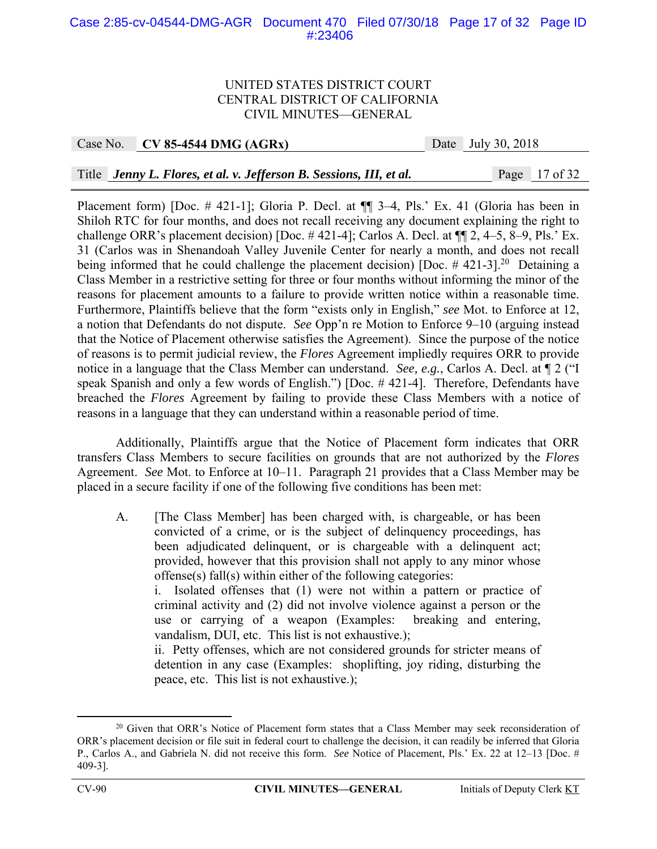### Case 2:85-cv-04544-DMG-AGR Document 470 Filed 07/30/18 Page 17 of 32 Page ID #:23406

#### UNITED STATES DISTRICT COURT CENTRAL DISTRICT OF CALIFORNIA CIVIL MINUTES—GENERAL

#### Case No. **CV 85-4544 DMG (AGRx)** Date July 30, 2018

Title *Jenny L. Flores, et al. v. Jefferson B. Sessions, III, et al.* Page 17 of 32

Placement form) [Doc. # 421-1]; Gloria P. Decl. at  $\P$  3–4, Pls.' Ex. 41 (Gloria has been in Shiloh RTC for four months, and does not recall receiving any document explaining the right to challenge ORR's placement decision) [Doc. # 421-4]; Carlos A. Decl. at ¶¶ 2, 4–5, 8–9, Pls.' Ex. 31 (Carlos was in Shenandoah Valley Juvenile Center for nearly a month, and does not recall being informed that he could challenge the placement decision) [Doc.  $\#$  421-3].<sup>20</sup> Detaining a Class Member in a restrictive setting for three or four months without informing the minor of the reasons for placement amounts to a failure to provide written notice within a reasonable time. Furthermore, Plaintiffs believe that the form "exists only in English," *see* Mot. to Enforce at 12, a notion that Defendants do not dispute. *See* Opp'n re Motion to Enforce 9–10 (arguing instead that the Notice of Placement otherwise satisfies the Agreement). Since the purpose of the notice of reasons is to permit judicial review, the *Flores* Agreement impliedly requires ORR to provide notice in a language that the Class Member can understand. *See, e.g.*, Carlos A. Decl. at ¶ 2 ("I speak Spanish and only a few words of English.") [Doc. # 421-4]. Therefore, Defendants have breached the *Flores* Agreement by failing to provide these Class Members with a notice of reasons in a language that they can understand within a reasonable period of time.

 Additionally, Plaintiffs argue that the Notice of Placement form indicates that ORR transfers Class Members to secure facilities on grounds that are not authorized by the *Flores* Agreement. *See* Mot. to Enforce at 10–11. Paragraph 21 provides that a Class Member may be placed in a secure facility if one of the following five conditions has been met:

A. [The Class Member] has been charged with, is chargeable, or has been convicted of a crime, or is the subject of delinquency proceedings, has been adjudicated delinquent, or is chargeable with a delinquent act; provided, however that this provision shall not apply to any minor whose offense(s) fall(s) within either of the following categories:

 i. Isolated offenses that (1) were not within a pattern or practice of criminal activity and (2) did not involve violence against a person or the use or carrying of a weapon (Examples: breaking and entering, vandalism, DUI, etc. This list is not exhaustive.);

 ii. Petty offenses, which are not considered grounds for stricter means of detention in any case (Examples: shoplifting, joy riding, disturbing the peace, etc. This list is not exhaustive.);

<sup>&</sup>lt;sup>20</sup> Given that ORR's Notice of Placement form states that a Class Member may seek reconsideration of ORR's placement decision or file suit in federal court to challenge the decision, it can readily be inferred that Gloria P., Carlos A., and Gabriela N. did not receive this form. *See* Notice of Placement, Pls.' Ex. 22 at 12–13 [Doc. # 409-3].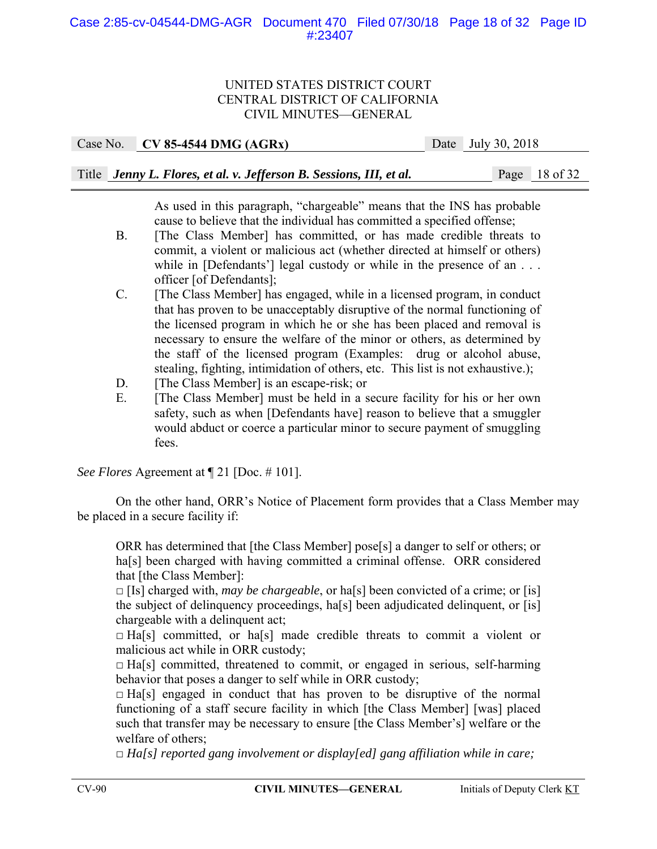Case No. **CV 85-4544 DMG (AGRx)** Date July 30, 2018

Title *Jenny L. Flores, et al. v. Jefferson B. Sessions, III, et al.* Page 18 of 32

 As used in this paragraph, "chargeable" means that the INS has probable cause to believe that the individual has committed a specified offense;

- B. [The Class Member] has committed, or has made credible threats to commit, a violent or malicious act (whether directed at himself or others) while in [Defendants'] legal custody or while in the presence of an . . . officer [of Defendants];
- C. [The Class Member] has engaged, while in a licensed program, in conduct that has proven to be unacceptably disruptive of the normal functioning of the licensed program in which he or she has been placed and removal is necessary to ensure the welfare of the minor or others, as determined by the staff of the licensed program (Examples: drug or alcohol abuse, stealing, fighting, intimidation of others, etc. This list is not exhaustive.);
- D. [The Class Member] is an escape-risk; or
- E. [The Class Member] must be held in a secure facility for his or her own safety, such as when [Defendants have] reason to believe that a smuggler would abduct or coerce a particular minor to secure payment of smuggling fees.

*See Flores* Agreement at ¶ 21 [Doc. # 101].

 On the other hand, ORR's Notice of Placement form provides that a Class Member may be placed in a secure facility if:

ORR has determined that [the Class Member] pose[s] a danger to self or others; or ha<sup>[s]</sup> been charged with having committed a criminal offense. ORR considered that [the Class Member]:

 $\Box$  [Is] charged with, *may be chargeable*, or ha<sup>[s]</sup> been convicted of a crime; or [is] the subject of delinquency proceedings, ha[s] been adjudicated delinquent, or [is] chargeable with a delinquent act;

 $\Box$  Ha[s] committed, or ha[s] made credible threats to commit a violent or malicious act while in ORR custody;

 $\Box$  Ha[s] committed, threatened to commit, or engaged in serious, self-harming behavior that poses a danger to self while in ORR custody;

 $\Box$  Ha[s] engaged in conduct that has proven to be disruptive of the normal functioning of a staff secure facility in which [the Class Member] [was] placed such that transfer may be necessary to ensure [the Class Member's] welfare or the welfare of others;

□ *Ha[s] reported gang involvement or display[ed] gang affiliation while in care;*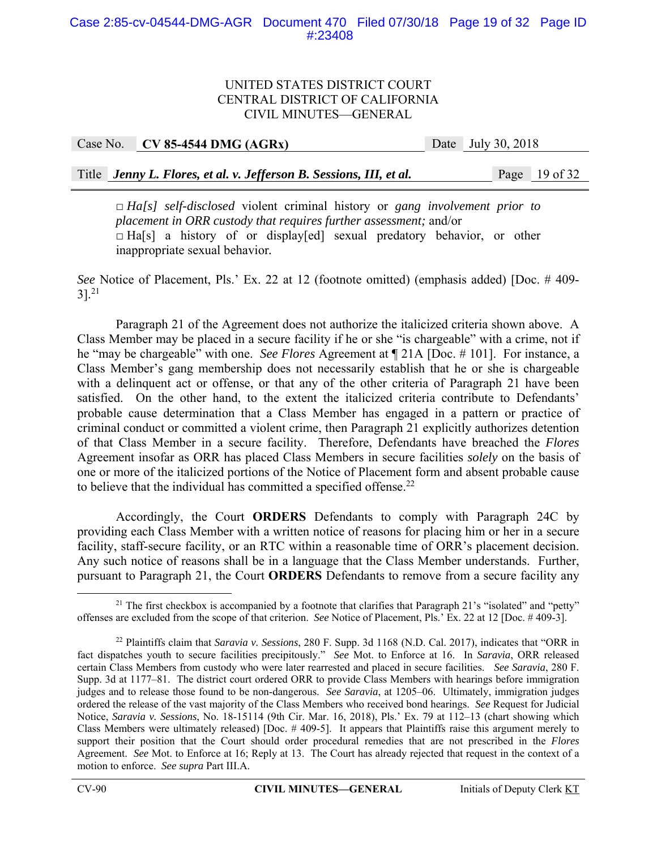Case No. **CV 85-4544 DMG (AGRx)** Date July 30, 2018

Title *Jenny L. Flores, et al. v. Jefferson B. Sessions, III, et al.* Page 19 of 32

□ *Ha[s] self-disclosed* violent criminal history or *gang involvement prior to placement in ORR custody that requires further assessment;* and/or  $\Box$  Ha[s] a history of or display[ed] sexual predatory behavior, or other inappropriate sexual behavior*.*

*See* Notice of Placement, Pls.' Ex. 22 at 12 (footnote omitted) (emphasis added) [Doc. # 409-  $3$ ].<sup>21</sup>

Paragraph 21 of the Agreement does not authorize the italicized criteria shown above. A Class Member may be placed in a secure facility if he or she "is chargeable" with a crime, not if he "may be chargeable" with one. *See Flores* Agreement at ¶ 21A [Doc. # 101]. For instance, a Class Member's gang membership does not necessarily establish that he or she is chargeable with a delinquent act or offense, or that any of the other criteria of Paragraph 21 have been satisfied. On the other hand, to the extent the italicized criteria contribute to Defendants' probable cause determination that a Class Member has engaged in a pattern or practice of criminal conduct or committed a violent crime, then Paragraph 21 explicitly authorizes detention of that Class Member in a secure facility. Therefore, Defendants have breached the *Flores* Agreement insofar as ORR has placed Class Members in secure facilities *solely* on the basis of one or more of the italicized portions of the Notice of Placement form and absent probable cause to believe that the individual has committed a specified offense. $^{22}$ 

Accordingly, the Court **ORDERS** Defendants to comply with Paragraph 24C by providing each Class Member with a written notice of reasons for placing him or her in a secure facility, staff-secure facility, or an RTC within a reasonable time of ORR's placement decision. Any such notice of reasons shall be in a language that the Class Member understands. Further, pursuant to Paragraph 21, the Court **ORDERS** Defendants to remove from a secure facility any

<sup>&</sup>lt;sup>21</sup> The first checkbox is accompanied by a footnote that clarifies that Paragraph 21's "isolated" and "petty" offenses are excluded from the scope of that criterion. *See* Notice of Placement, Pls.' Ex. 22 at 12 [Doc. # 409-3].

<sup>22</sup> Plaintiffs claim that *Saravia v. Sessions*, 280 F. Supp. 3d 1168 (N.D. Cal. 2017), indicates that "ORR in fact dispatches youth to secure facilities precipitously." *See* Mot. to Enforce at 16. In *Saravia*, ORR released certain Class Members from custody who were later rearrested and placed in secure facilities. *See Saravia*, 280 F. Supp. 3d at 1177–81. The district court ordered ORR to provide Class Members with hearings before immigration judges and to release those found to be non-dangerous. *See Saravia*, at 1205–06. Ultimately, immigration judges ordered the release of the vast majority of the Class Members who received bond hearings. *See* Request for Judicial Notice, *Saravia v. Sessions*, No. 18-15114 (9th Cir. Mar. 16, 2018), Pls.' Ex. 79 at 112–13 (chart showing which Class Members were ultimately released) [Doc. # 409-5]. It appears that Plaintiffs raise this argument merely to support their position that the Court should order procedural remedies that are not prescribed in the *Flores* Agreement. *See* Mot. to Enforce at 16; Reply at 13. The Court has already rejected that request in the context of a motion to enforce. *See supra* Part III.A.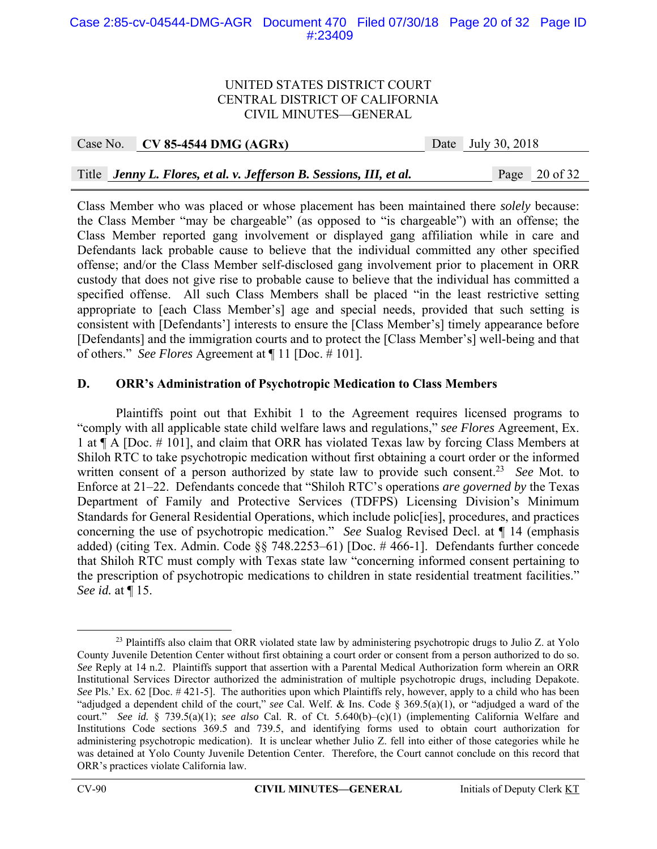#### Case 2:85-cv-04544-DMG-AGR Document 470 Filed 07/30/18 Page 20 of 32 Page ID #:23409

#### UNITED STATES DISTRICT COURT CENTRAL DISTRICT OF CALIFORNIA CIVIL MINUTES—GENERAL

| Case No. | $CV 85-4544 DMG (AGRx)$                                             | Date July 30, 2018 |                          |
|----------|---------------------------------------------------------------------|--------------------|--------------------------|
|          |                                                                     |                    |                          |
|          | Title Jenny L. Flores, et al. v. Jefferson B. Sessions, III, et al. |                    | Page $20 \text{ of } 32$ |

Class Member who was placed or whose placement has been maintained there *solely* because: the Class Member "may be chargeable" (as opposed to "is chargeable") with an offense; the Class Member reported gang involvement or displayed gang affiliation while in care and Defendants lack probable cause to believe that the individual committed any other specified offense; and/or the Class Member self-disclosed gang involvement prior to placement in ORR custody that does not give rise to probable cause to believe that the individual has committed a specified offense. All such Class Members shall be placed "in the least restrictive setting appropriate to [each Class Member's] age and special needs, provided that such setting is consistent with [Defendants'] interests to ensure the [Class Member's] timely appearance before [Defendants] and the immigration courts and to protect the [Class Member's] well-being and that of others." *See Flores* Agreement at ¶ 11 [Doc. # 101].

## **D. ORR's Administration of Psychotropic Medication to Class Members**

 Plaintiffs point out that Exhibit 1 to the Agreement requires licensed programs to "comply with all applicable state child welfare laws and regulations," *see Flores* Agreement, Ex. 1 at ¶ A [Doc. # 101], and claim that ORR has violated Texas law by forcing Class Members at Shiloh RTC to take psychotropic medication without first obtaining a court order or the informed written consent of a person authorized by state law to provide such consent.<sup>23</sup> *See* Mot. to Enforce at 21–22. Defendants concede that "Shiloh RTC's operations *are governed by* the Texas Department of Family and Protective Services (TDFPS) Licensing Division's Minimum Standards for General Residential Operations, which include polic[ies], procedures, and practices concerning the use of psychotropic medication." *See* Sualog Revised Decl. at ¶ 14 (emphasis added) (citing Tex. Admin. Code §§ 748.2253–61) [Doc. # 466-1]. Defendants further concede that Shiloh RTC must comply with Texas state law "concerning informed consent pertaining to the prescription of psychotropic medications to children in state residential treatment facilities." *See id.* at ¶ 15.

<sup>&</sup>lt;sup>23</sup> Plaintiffs also claim that ORR violated state law by administering psychotropic drugs to Julio Z. at Yolo County Juvenile Detention Center without first obtaining a court order or consent from a person authorized to do so. *See* Reply at 14 n.2. Plaintiffs support that assertion with a Parental Medical Authorization form wherein an ORR Institutional Services Director authorized the administration of multiple psychotropic drugs, including Depakote. *See* Pls.' Ex. 62 [Doc. #421-5]. The authorities upon which Plaintiffs rely, however, apply to a child who has been "adjudged a dependent child of the court," *see* Cal. Welf. & Ins. Code § 369.5(a)(1), or "adjudged a ward of the court." *See id.* § 739.5(a)(1); *see also* Cal. R. of Ct. 5.640(b)–(c)(1) (implementing California Welfare and Institutions Code sections 369.5 and 739.5, and identifying forms used to obtain court authorization for administering psychotropic medication). It is unclear whether Julio Z. fell into either of those categories while he was detained at Yolo County Juvenile Detention Center. Therefore, the Court cannot conclude on this record that ORR's practices violate California law.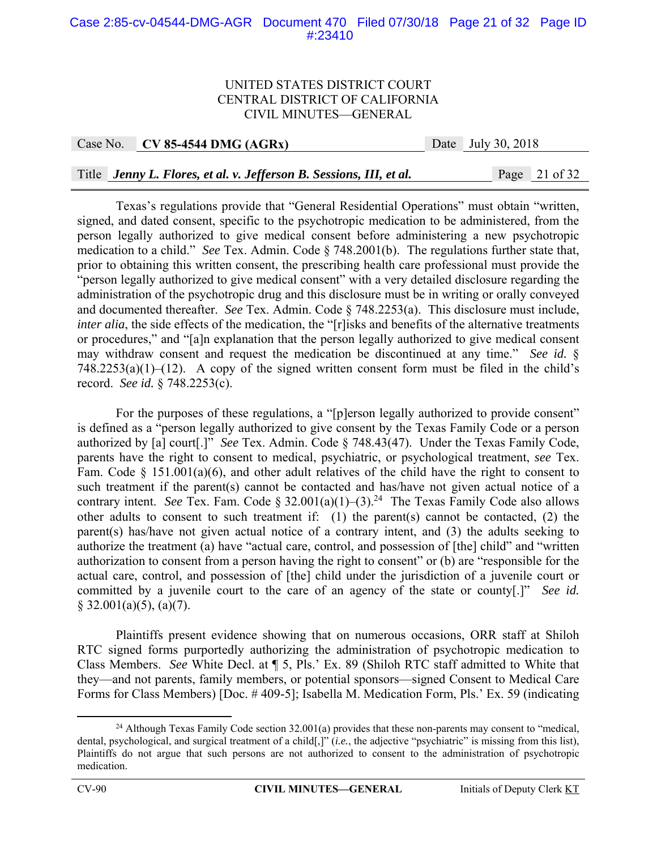#### Case 2:85-cv-04544-DMG-AGR Document 470 Filed 07/30/18 Page 21 of 32 Page ID #:23410

#### UNITED STATES DISTRICT COURT CENTRAL DISTRICT OF CALIFORNIA CIVIL MINUTES—GENERAL

Case No. **CV 85-4544 DMG (AGRx)** Date July 30, 2018

#### Title *Jenny L. Flores, et al. v. Jefferson B. Sessions, III, et al.* Page 21 of 32

Texas's regulations provide that "General Residential Operations" must obtain "written, signed, and dated consent, specific to the psychotropic medication to be administered, from the person legally authorized to give medical consent before administering a new psychotropic medication to a child." *See* Tex. Admin. Code § 748.2001(b). The regulations further state that, prior to obtaining this written consent, the prescribing health care professional must provide the "person legally authorized to give medical consent" with a very detailed disclosure regarding the administration of the psychotropic drug and this disclosure must be in writing or orally conveyed and documented thereafter. *See* Tex. Admin. Code § 748.2253(a). This disclosure must include, *inter alia*, the side effects of the medication, the "[r]isks and benefits of the alternative treatments or procedures," and "[a]n explanation that the person legally authorized to give medical consent may withdraw consent and request the medication be discontinued at any time." *See id.* §  $748.2253(a)(1)–(12)$ . A copy of the signed written consent form must be filed in the child's record. *See id.* § 748.2253(c).

For the purposes of these regulations, a "[p]erson legally authorized to provide consent" is defined as a "person legally authorized to give consent by the Texas Family Code or a person authorized by [a] court[.]" *See* Tex. Admin. Code § 748.43(47). Under the Texas Family Code, parents have the right to consent to medical, psychiatric, or psychological treatment, *see* Tex. Fam. Code § 151.001(a)(6), and other adult relatives of the child have the right to consent to such treatment if the parent(s) cannot be contacted and has/have not given actual notice of a contrary intent. *See* Tex. Fam. Code  $\S 32.001(a)(1)-(3).^{24}$  The Texas Family Code also allows other adults to consent to such treatment if: (1) the parent(s) cannot be contacted, (2) the parent(s) has/have not given actual notice of a contrary intent, and (3) the adults seeking to authorize the treatment (a) have "actual care, control, and possession of [the] child" and "written authorization to consent from a person having the right to consent" or (b) are "responsible for the actual care, control, and possession of [the] child under the jurisdiction of a juvenile court or committed by a juvenile court to the care of an agency of the state or county[.]" *See id.*  $\S$  32.001(a)(5), (a)(7).

 Plaintiffs present evidence showing that on numerous occasions, ORR staff at Shiloh RTC signed forms purportedly authorizing the administration of psychotropic medication to Class Members. *See* White Decl. at ¶ 5, Pls.' Ex. 89 (Shiloh RTC staff admitted to White that they—and not parents, family members, or potential sponsors—signed Consent to Medical Care Forms for Class Members) [Doc. # 409-5]; Isabella M. Medication Form, Pls.' Ex. 59 (indicating

<sup>&</sup>lt;sup>24</sup> Although Texas Family Code section  $32.001(a)$  provides that these non-parents may consent to "medical, dental, psychological, and surgical treatment of a child[,]" (*i.e.*, the adjective "psychiatric" is missing from this list), Plaintiffs do not argue that such persons are not authorized to consent to the administration of psychotropic medication.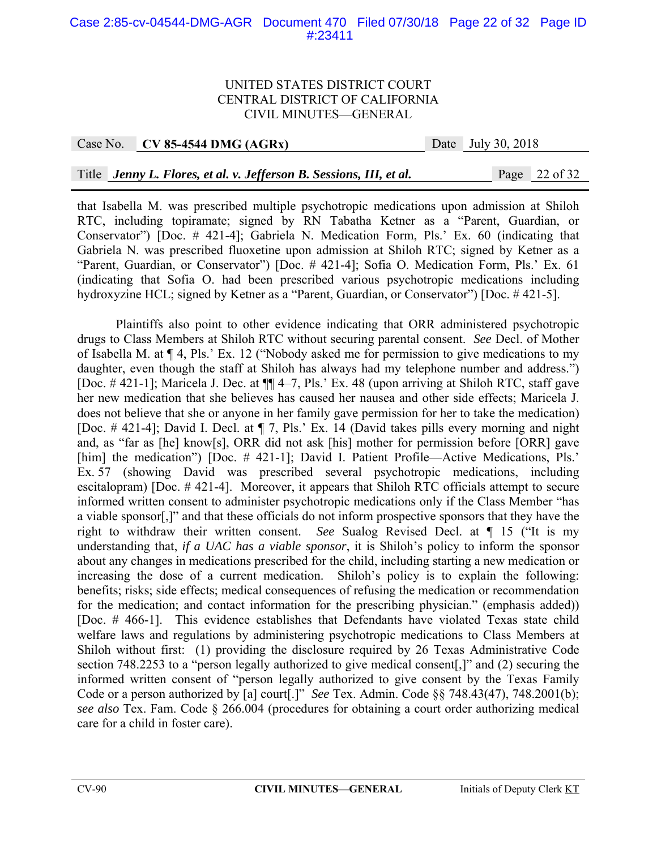## Case 2:85-cv-04544-DMG-AGR Document 470 Filed 07/30/18 Page 22 of 32 Page ID #:23411

#### UNITED STATES DISTRICT COURT CENTRAL DISTRICT OF CALIFORNIA CIVIL MINUTES—GENERAL

#### Case No. **CV 85-4544 DMG (AGRx)** Date July 30, 2018

#### Title *Jenny L. Flores, et al. v. Jefferson B. Sessions, III, et al.* Page 22 of 32

that Isabella M. was prescribed multiple psychotropic medications upon admission at Shiloh RTC, including topiramate; signed by RN Tabatha Ketner as a "Parent, Guardian, or Conservator") [Doc. # 421-4]; Gabriela N. Medication Form, Pls.' Ex. 60 (indicating that Gabriela N. was prescribed fluoxetine upon admission at Shiloh RTC; signed by Ketner as a "Parent, Guardian, or Conservator") [Doc. # 421-4]; Sofia O. Medication Form, Pls.' Ex. 61 (indicating that Sofia O. had been prescribed various psychotropic medications including hydroxyzine HCL; signed by Ketner as a "Parent, Guardian, or Conservator") [Doc. # 421-5].

Plaintiffs also point to other evidence indicating that ORR administered psychotropic drugs to Class Members at Shiloh RTC without securing parental consent. *See* Decl. of Mother of Isabella M. at ¶ 4, Pls.' Ex. 12 ("Nobody asked me for permission to give medications to my daughter, even though the staff at Shiloh has always had my telephone number and address.") [Doc. # 421-1]; Maricela J. Dec. at ¶¶ 4–7, Pls.' Ex. 48 (upon arriving at Shiloh RTC, staff gave her new medication that she believes has caused her nausea and other side effects; Maricela J. does not believe that she or anyone in her family gave permission for her to take the medication) [Doc. # 421-4]; David I. Decl. at ¶ 7, Pls.' Ex. 14 (David takes pills every morning and night and, as "far as [he] know[s], ORR did not ask [his] mother for permission before [ORR] gave [him] the medication") [Doc. # 421-1]; David I. Patient Profile—Active Medications, Pls.' Ex. 57 (showing David was prescribed several psychotropic medications, including escitalopram) [Doc. # 421-4]. Moreover, it appears that Shiloh RTC officials attempt to secure informed written consent to administer psychotropic medications only if the Class Member "has a viable sponsor[,]" and that these officials do not inform prospective sponsors that they have the right to withdraw their written consent. *See* Sualog Revised Decl. at ¶ 15 ("It is my understanding that, *if a UAC has a viable sponsor*, it is Shiloh's policy to inform the sponsor about any changes in medications prescribed for the child, including starting a new medication or increasing the dose of a current medication. Shiloh's policy is to explain the following: benefits; risks; side effects; medical consequences of refusing the medication or recommendation for the medication; and contact information for the prescribing physician." (emphasis added)) [Doc. # 466-1]. This evidence establishes that Defendants have violated Texas state child welfare laws and regulations by administering psychotropic medications to Class Members at Shiloh without first: (1) providing the disclosure required by 26 Texas Administrative Code section 748.2253 to a "person legally authorized to give medical consent[,]" and (2) securing the informed written consent of "person legally authorized to give consent by the Texas Family Code or a person authorized by [a] court[.]" *See* Tex. Admin. Code §§ 748.43(47), 748.2001(b); *see also* Tex. Fam. Code § 266.004 (procedures for obtaining a court order authorizing medical care for a child in foster care).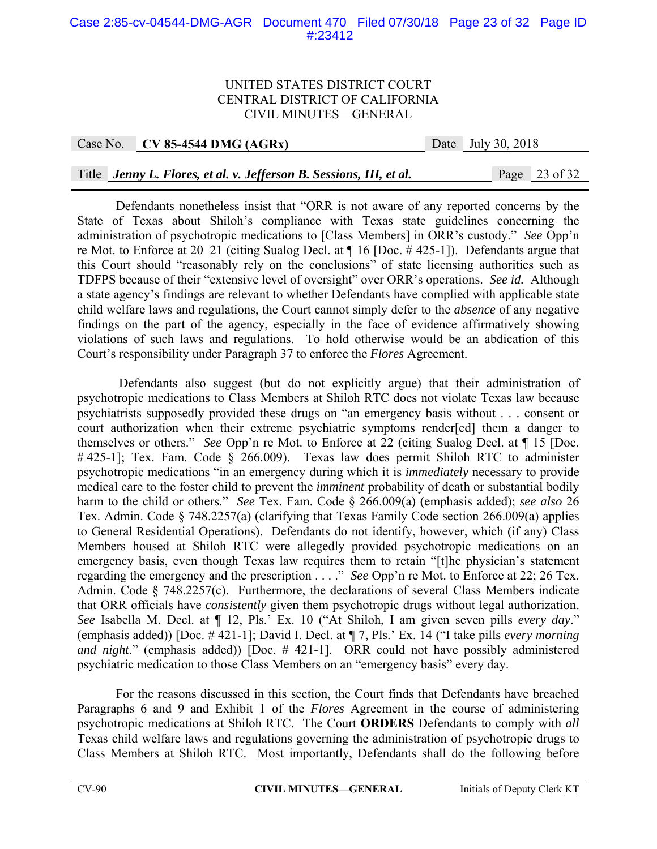### Case 2:85-cv-04544-DMG-AGR Document 470 Filed 07/30/18 Page 23 of 32 Page ID #:23412

#### UNITED STATES DISTRICT COURT CENTRAL DISTRICT OF CALIFORNIA CIVIL MINUTES—GENERAL

Case No. **CV 85-4544 DMG (AGRx)** Date July 30, 2018

Title *Jenny L. Flores, et al. v. Jefferson B. Sessions, III, et al.* Page 23 of 32

 Defendants nonetheless insist that "ORR is not aware of any reported concerns by the State of Texas about Shiloh's compliance with Texas state guidelines concerning the administration of psychotropic medications to [Class Members] in ORR's custody." *See* Opp'n re Mot. to Enforce at 20–21 (citing Sualog Decl. at ¶ 16 [Doc. # 425-1]). Defendants argue that this Court should "reasonably rely on the conclusions" of state licensing authorities such as TDFPS because of their "extensive level of oversight" over ORR's operations. *See id.* Although a state agency's findings are relevant to whether Defendants have complied with applicable state child welfare laws and regulations, the Court cannot simply defer to the *absence* of any negative findings on the part of the agency, especially in the face of evidence affirmatively showing violations of such laws and regulations. To hold otherwise would be an abdication of this Court's responsibility under Paragraph 37 to enforce the *Flores* Agreement.

 Defendants also suggest (but do not explicitly argue) that their administration of psychotropic medications to Class Members at Shiloh RTC does not violate Texas law because psychiatrists supposedly provided these drugs on "an emergency basis without . . . consent or court authorization when their extreme psychiatric symptoms render[ed] them a danger to themselves or others." *See* Opp'n re Mot. to Enforce at 22 (citing Sualog Decl. at ¶ 15 [Doc. #425-1]; Tex. Fam. Code § 266.009). Texas law does permit Shiloh RTC to administer psychotropic medications "in an emergency during which it is *immediately* necessary to provide medical care to the foster child to prevent the *imminent* probability of death or substantial bodily harm to the child or others." *See* Tex. Fam. Code § 266.009(a) (emphasis added); *see also* 26 Tex. Admin. Code § 748.2257(a) (clarifying that Texas Family Code section 266.009(a) applies to General Residential Operations). Defendants do not identify, however, which (if any) Class Members housed at Shiloh RTC were allegedly provided psychotropic medications on an emergency basis, even though Texas law requires them to retain "[t]he physician's statement regarding the emergency and the prescription . . . ." *See* Opp'n re Mot. to Enforce at 22; 26 Tex. Admin. Code § 748.2257(c). Furthermore, the declarations of several Class Members indicate that ORR officials have *consistently* given them psychotropic drugs without legal authorization. *See* Isabella M. Decl. at ¶ 12, Pls.' Ex. 10 ("At Shiloh, I am given seven pills *every day*." (emphasis added)) [Doc. # 421-1]; David I. Decl. at ¶ 7, Pls.' Ex. 14 ("I take pills *every morning and night*." (emphasis added)) [Doc. # 421-1]. ORR could not have possibly administered psychiatric medication to those Class Members on an "emergency basis" every day.

 For the reasons discussed in this section, the Court finds that Defendants have breached Paragraphs 6 and 9 and Exhibit 1 of the *Flores* Agreement in the course of administering psychotropic medications at Shiloh RTC. The Court **ORDERS** Defendants to comply with *all* Texas child welfare laws and regulations governing the administration of psychotropic drugs to Class Members at Shiloh RTC. Most importantly, Defendants shall do the following before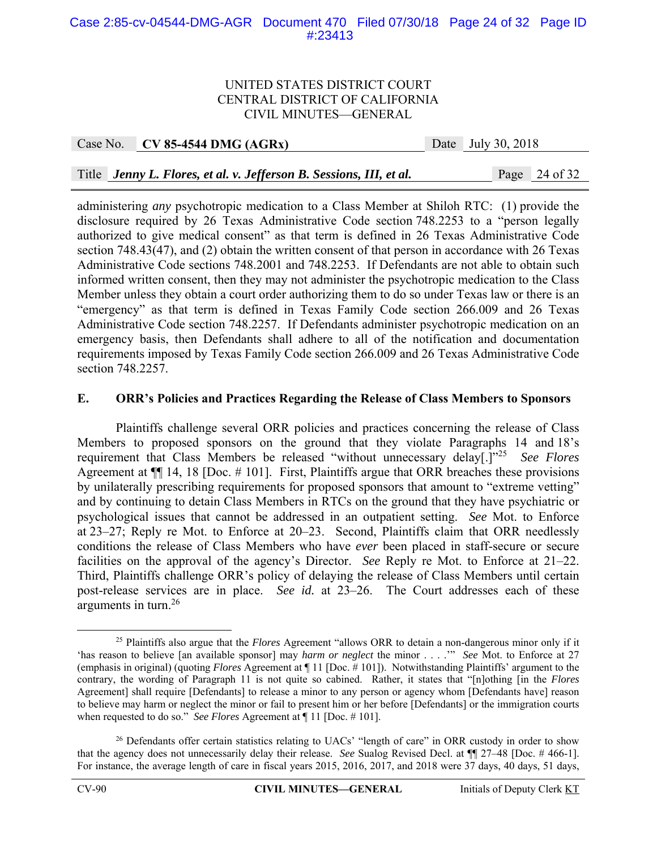### Case 2:85-cv-04544-DMG-AGR Document 470 Filed 07/30/18 Page 24 of 32 Page ID #:23413

#### UNITED STATES DISTRICT COURT CENTRAL DISTRICT OF CALIFORNIA CIVIL MINUTES—GENERAL

Case No. **CV 85-4544 DMG (AGRx)** Date July 30, 2018

Title *Jenny L. Flores, et al. v. Jefferson B. Sessions, III, et al.* Page 24 of 32

administering *any* psychotropic medication to a Class Member at Shiloh RTC: (1) provide the disclosure required by 26 Texas Administrative Code section 748.2253 to a "person legally authorized to give medical consent" as that term is defined in 26 Texas Administrative Code section 748.43(47), and (2) obtain the written consent of that person in accordance with 26 Texas Administrative Code sections 748.2001 and 748.2253. If Defendants are not able to obtain such informed written consent, then they may not administer the psychotropic medication to the Class Member unless they obtain a court order authorizing them to do so under Texas law or there is an "emergency" as that term is defined in Texas Family Code section 266.009 and 26 Texas Administrative Code section 748.2257. If Defendants administer psychotropic medication on an emergency basis, then Defendants shall adhere to all of the notification and documentation requirements imposed by Texas Family Code section 266.009 and 26 Texas Administrative Code section 748.2257.

#### **E. ORR's Policies and Practices Regarding the Release of Class Members to Sponsors**

 Plaintiffs challenge several ORR policies and practices concerning the release of Class Members to proposed sponsors on the ground that they violate Paragraphs 14 and 18's requirement that Class Members be released "without unnecessary delay[.]"25 *See Flores* Agreement at ¶¶ 14, 18 [Doc. # 101]. First, Plaintiffs argue that ORR breaches these provisions by unilaterally prescribing requirements for proposed sponsors that amount to "extreme vetting" and by continuing to detain Class Members in RTCs on the ground that they have psychiatric or psychological issues that cannot be addressed in an outpatient setting. *See* Mot. to Enforce at 23–27; Reply re Mot. to Enforce at 20–23. Second, Plaintiffs claim that ORR needlessly conditions the release of Class Members who have *ever* been placed in staff-secure or secure facilities on the approval of the agency's Director. *See* Reply re Mot. to Enforce at 21–22. Third, Plaintiffs challenge ORR's policy of delaying the release of Class Members until certain post-release services are in place. *See id.* at 23–26. The Court addresses each of these arguments in turn.26

 <sup>25</sup> Plaintiffs also argue that the *Flores* Agreement "allows ORR to detain a non-dangerous minor only if it 'has reason to believe [an available sponsor] may *harm or neglect* the minor . . . .'" *See* Mot. to Enforce at 27 (emphasis in original) (quoting *Flores* Agreement at ¶ 11 [Doc. # 101]). Notwithstanding Plaintiffs' argument to the contrary, the wording of Paragraph 11 is not quite so cabined. Rather, it states that "[n]othing [in the *Flores* Agreement] shall require [Defendants] to release a minor to any person or agency whom [Defendants have] reason to believe may harm or neglect the minor or fail to present him or her before [Defendants] or the immigration courts when requested to do so." *See Flores* Agreement at ¶ 11 [Doc. # 101].

 $26$  Defendants offer certain statistics relating to UACs' "length of care" in ORR custody in order to show that the agency does not unnecessarily delay their release. *See* Sualog Revised Decl. at ¶¶ 27–48 [Doc. # 466-1]. For instance, the average length of care in fiscal years 2015, 2016, 2017, and 2018 were 37 days, 40 days, 51 days,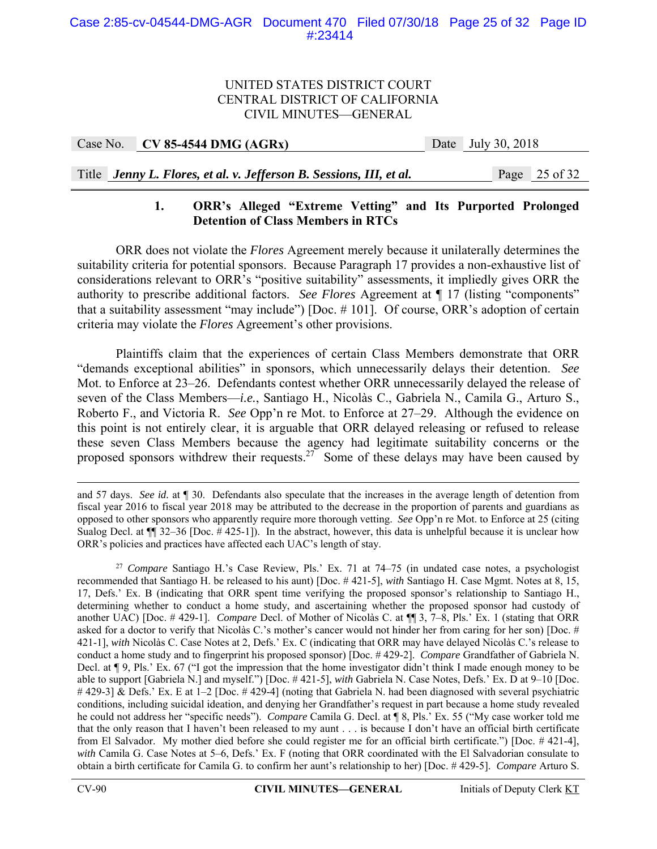| Case No. | $CV 85-4544 DMG (AGRx)$ | Date | July 30, 2018 |
|----------|-------------------------|------|---------------|
|          |                         |      |               |

## Title *Jenny L. Flores, et al. v. Jefferson B. Sessions, III, et al.* Page 25 of 32

## **1. ORR's Alleged "Extreme Vetting" and Its Purported Prolonged Detention of Class Members in RTCs**

 ORR does not violate the *Flores* Agreement merely because it unilaterally determines the suitability criteria for potential sponsors. Because Paragraph 17 provides a non-exhaustive list of considerations relevant to ORR's "positive suitability" assessments, it impliedly gives ORR the authority to prescribe additional factors. *See Flores* Agreement at ¶ 17 (listing "components" that a suitability assessment "may include") [Doc. # 101]. Of course, ORR's adoption of certain criteria may violate the *Flores* Agreement's other provisions.

 Plaintiffs claim that the experiences of certain Class Members demonstrate that ORR "demands exceptional abilities" in sponsors, which unnecessarily delays their detention. *See* Mot. to Enforce at 23–26. Defendants contest whether ORR unnecessarily delayed the release of seven of the Class Members—*i.e.*, Santiago H., Nicolàs C., Gabriela N., Camila G., Arturo S., Roberto F., and Victoria R. *See* Opp'n re Mot. to Enforce at 27–29. Although the evidence on this point is not entirely clear, it is arguable that ORR delayed releasing or refused to release these seven Class Members because the agency had legitimate suitability concerns or the proposed sponsors withdrew their requests.<sup>27</sup> Some of these delays may have been caused by

and 57 days. *See id.* at ¶ 30. Defendants also speculate that the increases in the average length of detention from fiscal year 2016 to fiscal year 2018 may be attributed to the decrease in the proportion of parents and guardians as opposed to other sponsors who apparently require more thorough vetting. *See* Opp'n re Mot. to Enforce at 25 (citing Sualog Decl. at  $\P$  32–36 [Doc. #425-1]). In the abstract, however, this data is unhelpful because it is unclear how ORR's policies and practices have affected each UAC's length of stay.

<sup>27</sup> *Compare* Santiago H.'s Case Review, Pls.' Ex. 71 at 74–75 (in undated case notes, a psychologist recommended that Santiago H. be released to his aunt) [Doc. # 421-5], *with* Santiago H. Case Mgmt. Notes at 8, 15, 17, Defs.' Ex. B (indicating that ORR spent time verifying the proposed sponsor's relationship to Santiago H., determining whether to conduct a home study, and ascertaining whether the proposed sponsor had custody of another UAC) [Doc. # 429-1]. *Compare* Decl. of Mother of Nicolàs C. at ¶¶ 3, 7–8, Pls.' Ex. 1 (stating that ORR asked for a doctor to verify that Nicolàs C.'s mother's cancer would not hinder her from caring for her son) [Doc. # 421-1], *with* Nicolàs C. Case Notes at 2, Defs.' Ex. C (indicating that ORR may have delayed Nicolàs C.'s release to conduct a home study and to fingerprint his proposed sponsor) [Doc. # 429-2]. *Compare* Grandfather of Gabriela N. Decl. at ¶ 9, Pls.' Ex. 67 ("I got the impression that the home investigator didn't think I made enough money to be able to support [Gabriela N.] and myself.") [Doc. # 421-5], *with* Gabriela N. Case Notes, Defs.' Ex. D at 9–10 [Doc. # 429-3] & Defs.' Ex. E at 1–2 [Doc. # 429-4] (noting that Gabriela N. had been diagnosed with several psychiatric conditions, including suicidal ideation, and denying her Grandfather's request in part because a home study revealed he could not address her "specific needs"). *Compare* Camila G. Decl. at ¶ 8, Pls.' Ex. 55 ("My case worker told me that the only reason that I haven't been released to my aunt . . . is because I don't have an official birth certificate from El Salvador. My mother died before she could register me for an official birth certificate.") [Doc. # 421-4], *with* Camila G. Case Notes at 5–6, Defs.' Ex. F (noting that ORR coordinated with the El Salvadorian consulate to obtain a birth certificate for Camila G. to confirm her aunt's relationship to her) [Doc. # 429-5]. *Compare* Arturo S.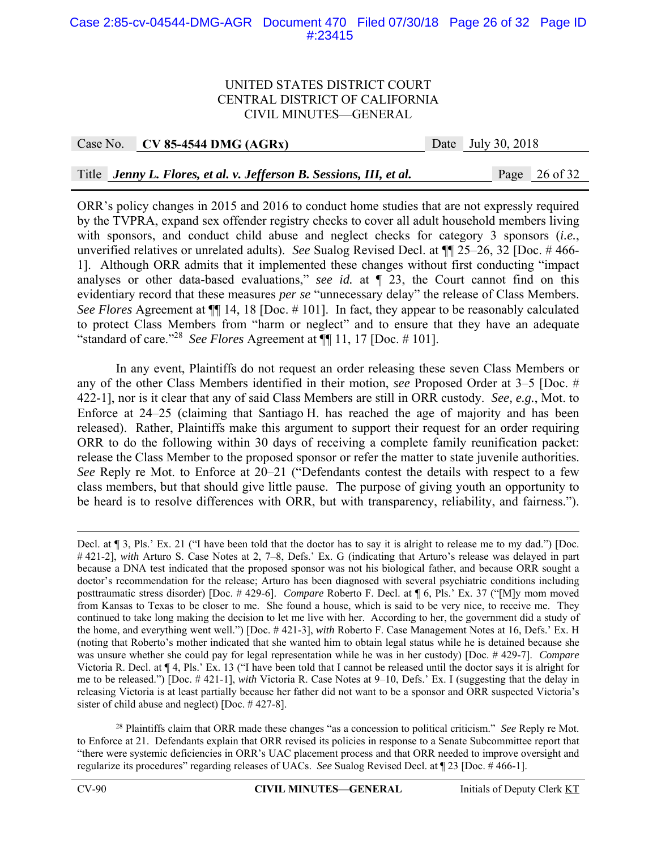#### Case 2:85-cv-04544-DMG-AGR Document 470 Filed 07/30/18 Page 26 of 32 Page ID #:23415

#### UNITED STATES DISTRICT COURT CENTRAL DISTRICT OF CALIFORNIA CIVIL MINUTES—GENERAL

Case No. **CV 85-4544 DMG (AGRx)** Date July 30, 2018

Title *Jenny L. Flores, et al. v. Jefferson B. Sessions, III, et al.* Page 26 of 32

ORR's policy changes in 2015 and 2016 to conduct home studies that are not expressly required by the TVPRA, expand sex offender registry checks to cover all adult household members living with sponsors, and conduct child abuse and neglect checks for category 3 sponsors (*i.e.*, unverified relatives or unrelated adults). *See* Sualog Revised Decl. at ¶¶ 25–26, 32 [Doc. # 466- 1]. Although ORR admits that it implemented these changes without first conducting "impact analyses or other data-based evaluations," *see id.* at ¶ 23, the Court cannot find on this evidentiary record that these measures *per se* "unnecessary delay" the release of Class Members. *See Flores* Agreement at ¶¶ 14, 18 [Doc. # 101]. In fact, they appear to be reasonably calculated to protect Class Members from "harm or neglect" and to ensure that they have an adequate "standard of care."<sup>28</sup> *See Flores* Agreement at  $\P$  11, 17 [Doc. # 101].

In any event, Plaintiffs do not request an order releasing these seven Class Members or any of the other Class Members identified in their motion, *see* Proposed Order at 3–5 [Doc. # 422-1], nor is it clear that any of said Class Members are still in ORR custody. *See, e.g.*, Mot. to Enforce at 24–25 (claiming that Santiago H. has reached the age of majority and has been released). Rather, Plaintiffs make this argument to support their request for an order requiring ORR to do the following within 30 days of receiving a complete family reunification packet: release the Class Member to the proposed sponsor or refer the matter to state juvenile authorities. *See* Reply re Mot. to Enforce at 20–21 ("Defendants contest the details with respect to a few class members, but that should give little pause. The purpose of giving youth an opportunity to be heard is to resolve differences with ORR, but with transparency, reliability, and fairness.").

<sup>28</sup> Plaintiffs claim that ORR made these changes "as a concession to political criticism." *See* Reply re Mot. to Enforce at 21. Defendants explain that ORR revised its policies in response to a Senate Subcommittee report that "there were systemic deficiencies in ORR's UAC placement process and that ORR needed to improve oversight and regularize its procedures" regarding releases of UACs. *See* Sualog Revised Decl. at ¶ 23 [Doc. # 466-1].

Decl. at ¶ 3, Pls.' Ex. 21 ("I have been told that the doctor has to say it is alright to release me to my dad.") [Doc. # 421-2], *with* Arturo S. Case Notes at 2, 7–8, Defs.' Ex. G (indicating that Arturo's release was delayed in part because a DNA test indicated that the proposed sponsor was not his biological father, and because ORR sought a doctor's recommendation for the release; Arturo has been diagnosed with several psychiatric conditions including posttraumatic stress disorder) [Doc. # 429-6]. *Compare* Roberto F. Decl. at ¶ 6, Pls.' Ex. 37 ("[M]y mom moved from Kansas to Texas to be closer to me. She found a house, which is said to be very nice, to receive me. They continued to take long making the decision to let me live with her. According to her, the government did a study of the home, and everything went well.") [Doc. # 421-3], *with* Roberto F. Case Management Notes at 16, Defs.' Ex. H (noting that Roberto's mother indicated that she wanted him to obtain legal status while he is detained because she was unsure whether she could pay for legal representation while he was in her custody) [Doc. # 429-7]. *Compare*  Victoria R. Decl. at ¶ 4, Pls.' Ex. 13 ("I have been told that I cannot be released until the doctor says it is alright for me to be released.") [Doc. # 421-1], *with* Victoria R. Case Notes at 9–10, Defs.' Ex. I (suggesting that the delay in releasing Victoria is at least partially because her father did not want to be a sponsor and ORR suspected Victoria's sister of child abuse and neglect) [Doc. # 427-8].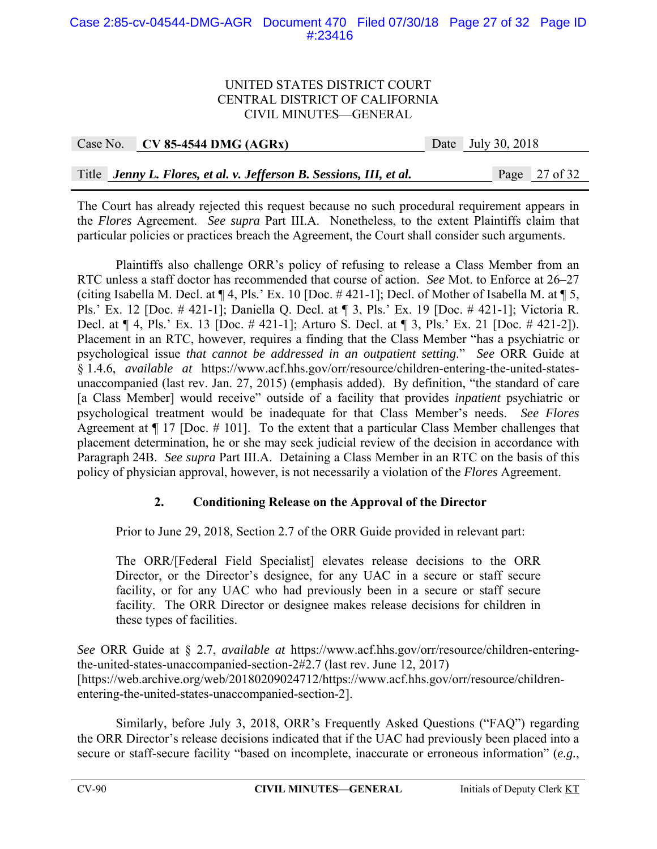## Case 2:85-cv-04544-DMG-AGR Document 470 Filed 07/30/18 Page 27 of 32 Page ID #:23416

#### UNITED STATES DISTRICT COURT CENTRAL DISTRICT OF CALIFORNIA CIVIL MINUTES—GENERAL

|  | Case No. $\vert$ CV 85-4544 DMG (AGRx)                              | Date July 30, 2018 |  |
|--|---------------------------------------------------------------------|--------------------|--|
|  |                                                                     |                    |  |
|  | Title Jenny L. Flores, et al. v. Jefferson B. Sessions, III, et al. | Page 27 of 32      |  |

The Court has already rejected this request because no such procedural requirement appears in the *Flores* Agreement. *See supra* Part III.A. Nonetheless, to the extent Plaintiffs claim that particular policies or practices breach the Agreement, the Court shall consider such arguments.

 Plaintiffs also challenge ORR's policy of refusing to release a Class Member from an RTC unless a staff doctor has recommended that course of action. *See* Mot. to Enforce at 26–27 (citing Isabella M. Decl. at ¶ 4, Pls.' Ex. 10 [Doc. # 421-1]; Decl. of Mother of Isabella M. at ¶ 5, Pls.' Ex. 12 [Doc. # 421-1]; Daniella Q. Decl. at ¶ 3, Pls.' Ex. 19 [Doc. # 421-1]; Victoria R. Decl. at ¶ 4, Pls.' Ex. 13 [Doc. # 421-1]; Arturo S. Decl. at ¶ 3, Pls.' Ex. 21 [Doc. # 421-2]). Placement in an RTC, however, requires a finding that the Class Member "has a psychiatric or psychological issue *that cannot be addressed in an outpatient setting*." *See* ORR Guide at § 1.4.6, *available at* https://www.acf.hhs.gov/orr/resource/children-entering-the-united-statesunaccompanied (last rev. Jan. 27, 2015) (emphasis added). By definition, "the standard of care [a Class Member] would receive" outside of a facility that provides *inpatient* psychiatric or psychological treatment would be inadequate for that Class Member's needs. *See Flores* Agreement at ¶ 17 [Doc. # 101]. To the extent that a particular Class Member challenges that placement determination, he or she may seek judicial review of the decision in accordance with Paragraph 24B. *See supra* Part III.A. Detaining a Class Member in an RTC on the basis of this policy of physician approval, however, is not necessarily a violation of the *Flores* Agreement.

## **2. Conditioning Release on the Approval of the Director**

Prior to June 29, 2018, Section 2.7 of the ORR Guide provided in relevant part:

The ORR/[Federal Field Specialist] elevates release decisions to the ORR Director, or the Director's designee, for any UAC in a secure or staff secure facility, or for any UAC who had previously been in a secure or staff secure facility. The ORR Director or designee makes release decisions for children in these types of facilities.

*See* ORR Guide at § 2.7, *available at* https://www.acf.hhs.gov/orr/resource/children-enteringthe-united-states-unaccompanied-section-2#2.7 (last rev. June 12, 2017) [https://web.archive.org/web/20180209024712/https://www.acf.hhs.gov/orr/resource/childrenentering-the-united-states-unaccompanied-section-2].

Similarly, before July 3, 2018, ORR's Frequently Asked Questions ("FAQ") regarding the ORR Director's release decisions indicated that if the UAC had previously been placed into a secure or staff-secure facility "based on incomplete, inaccurate or erroneous information" (*e.g.*,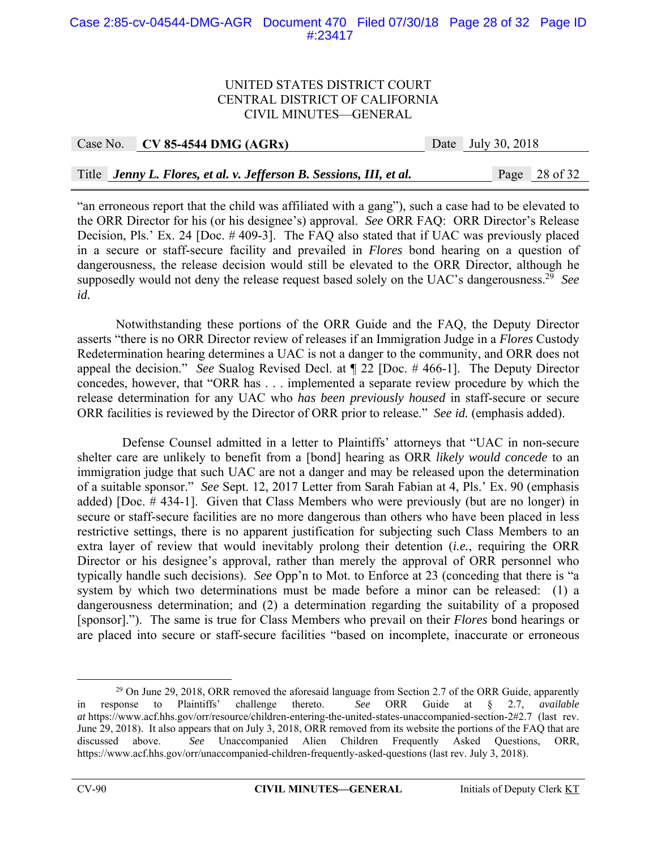### Case 2:85-cv-04544-DMG-AGR Document 470 Filed 07/30/18 Page 28 of 32 Page ID #:23417

#### UNITED STATES DISTRICT COURT CENTRAL DISTRICT OF CALIFORNIA CIVIL MINUTES—GENERAL

| Case No. | $CV 85-4544 DMG (AGRx)$                                             | Date July 30, 2018 |                          |
|----------|---------------------------------------------------------------------|--------------------|--------------------------|
|          |                                                                     |                    |                          |
|          | Title Jenny L. Flores, et al. v. Jefferson B. Sessions, III, et al. |                    | Page $28 \text{ of } 32$ |

"an erroneous report that the child was affiliated with a gang"), such a case had to be elevated to the ORR Director for his (or his designee's) approval. *See* ORR FAQ: ORR Director's Release Decision, Pls.' Ex. 24 [Doc. # 409-3]. The FAQ also stated that if UAC was previously placed in a secure or staff-secure facility and prevailed in *Flores* bond hearing on a question of dangerousness, the release decision would still be elevated to the ORR Director, although he supposedly would not deny the release request based solely on the UAC's dangerousness.29 *See id.*

 Notwithstanding these portions of the ORR Guide and the FAQ, the Deputy Director asserts "there is no ORR Director review of releases if an Immigration Judge in a *Flores* Custody Redetermination hearing determines a UAC is not a danger to the community, and ORR does not appeal the decision." *See* Sualog Revised Decl. at ¶ 22 [Doc. # 466-1]. The Deputy Director concedes, however, that "ORR has . . . implemented a separate review procedure by which the release determination for any UAC who *has been previously housed* in staff-secure or secure ORR facilities is reviewed by the Director of ORR prior to release." *See id.* (emphasis added).

 Defense Counsel admitted in a letter to Plaintiffs' attorneys that "UAC in non-secure shelter care are unlikely to benefit from a [bond] hearing as ORR *likely would concede* to an immigration judge that such UAC are not a danger and may be released upon the determination of a suitable sponsor." *See* Sept. 12, 2017 Letter from Sarah Fabian at 4, Pls.' Ex. 90 (emphasis added) [Doc. # 434-1]. Given that Class Members who were previously (but are no longer) in secure or staff-secure facilities are no more dangerous than others who have been placed in less restrictive settings, there is no apparent justification for subjecting such Class Members to an extra layer of review that would inevitably prolong their detention (*i.e.*, requiring the ORR Director or his designee's approval, rather than merely the approval of ORR personnel who typically handle such decisions). *See* Opp'n to Mot. to Enforce at 23 (conceding that there is "a system by which two determinations must be made before a minor can be released: (1) a dangerousness determination; and (2) a determination regarding the suitability of a proposed [sponsor]."). The same is true for Class Members who prevail on their *Flores* bond hearings or are placed into secure or staff-secure facilities "based on incomplete, inaccurate or erroneous

 $^{29}$  On June 29, 2018, ORR removed the aforesaid language from Section 2.7 of the ORR Guide, apparently in response to Plaintiffs' challenge thereto. *See* ORR Guide at § 2.7, *available at* https://www.acf.hhs.gov/orr/resource/children-entering-the-united-states-unaccompanied-section-2#2.7 (last rev. June 29, 2018). It also appears that on July 3, 2018, ORR removed from its website the portions of the FAQ that are discussed above. *See* Unaccompanied Alien Children Frequently Asked Questions, ORR, https://www.acf.hhs.gov/orr/unaccompanied-children-frequently-asked-questions (last rev. July 3, 2018).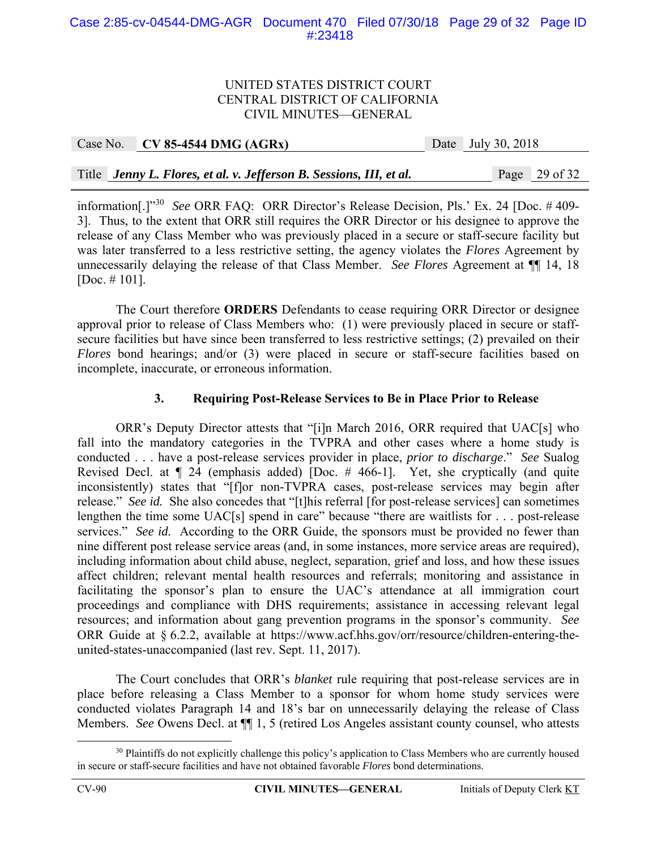### Case 2:85-cv-04544-DMG-AGR Document 470 Filed 07/30/18 Page 29 of 32 Page ID #:23418

#### UNITED STATES DISTRICT COURT CENTRAL DISTRICT OF CALIFORNIA CIVIL MINUTES—GENERAL

| Case No. CV 85-4544 DMG (AGRx)                                      | Date July 30, 2018 |                 |
|---------------------------------------------------------------------|--------------------|-----------------|
|                                                                     |                    |                 |
| Title Jenny L. Flores, et al. v. Jefferson B. Sessions, III, et al. |                    | Page $29$ of 32 |

information[.]"30 *See* ORR FAQ: ORR Director's Release Decision, Pls.' Ex. 24 [Doc. # 409- 3]. Thus, to the extent that ORR still requires the ORR Director or his designee to approve the release of any Class Member who was previously placed in a secure or staff-secure facility but was later transferred to a less restrictive setting, the agency violates the *Flores* Agreement by unnecessarily delaying the release of that Class Member. *See Flores* Agreement at ¶¶ 14, 18 [Doc. # 101].

The Court therefore **ORDERS** Defendants to cease requiring ORR Director or designee approval prior to release of Class Members who: (1) were previously placed in secure or staffsecure facilities but have since been transferred to less restrictive settings; (2) prevailed on their *Flores* bond hearings; and/or (3) were placed in secure or staff-secure facilities based on incomplete, inaccurate, or erroneous information.

## **3. Requiring Post-Release Services to Be in Place Prior to Release**

 ORR's Deputy Director attests that "[i]n March 2016, ORR required that UAC[s] who fall into the mandatory categories in the TVPRA and other cases where a home study is conducted . . . have a post-release services provider in place, *prior to discharge*." *See* Sualog Revised Decl. at ¶ 24 (emphasis added) [Doc. # 466-1]. Yet, she cryptically (and quite inconsistently) states that "[f]or non-TVPRA cases, post-release services may begin after release." *See id.* She also concedes that "[t]his referral [for post-release services] can sometimes lengthen the time some UAC[s] spend in care" because "there are waitlists for . . . post-release services." *See id.* According to the ORR Guide, the sponsors must be provided no fewer than nine different post release service areas (and, in some instances, more service areas are required), including information about child abuse, neglect, separation, grief and loss, and how these issues affect children; relevant mental health resources and referrals; monitoring and assistance in facilitating the sponsor's plan to ensure the UAC's attendance at all immigration court proceedings and compliance with DHS requirements; assistance in accessing relevant legal resources; and information about gang prevention programs in the sponsor's community. *See* ORR Guide at § 6.2.2, available at https://www.acf.hhs.gov/orr/resource/children-entering-theunited-states-unaccompanied (last rev. Sept. 11, 2017).

The Court concludes that ORR's *blanket* rule requiring that post-release services are in place before releasing a Class Member to a sponsor for whom home study services were conducted violates Paragraph 14 and 18's bar on unnecessarily delaying the release of Class Members. *See* Owens Decl. at ¶¶ 1, 5 (retired Los Angeles assistant county counsel, who attests

<sup>&</sup>lt;sup>30</sup> Plaintiffs do not explicitly challenge this policy's application to Class Members who are currently housed in secure or staff-secure facilities and have not obtained favorable *Flores* bond determinations.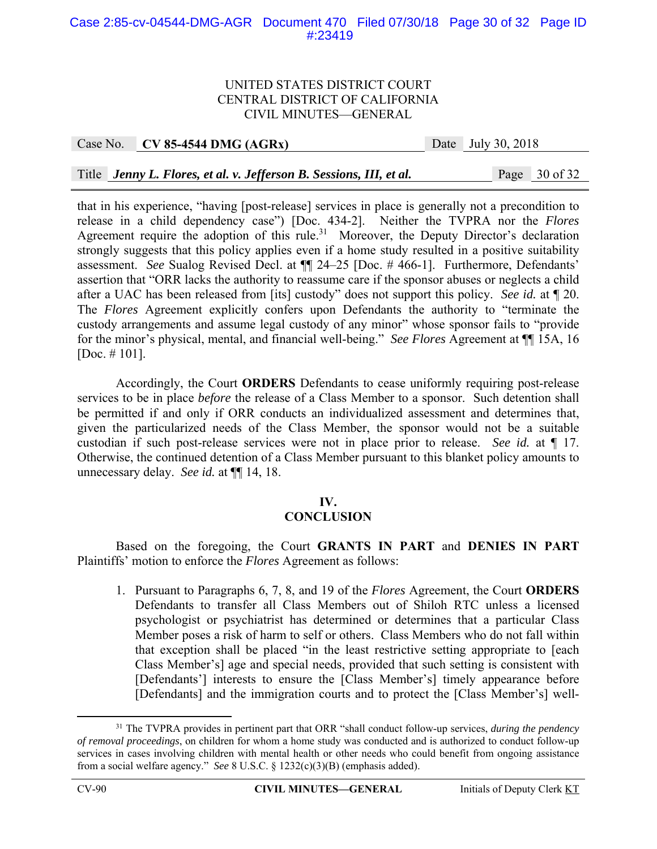#### Case 2:85-cv-04544-DMG-AGR Document 470 Filed 07/30/18 Page 30 of 32 Page ID #:23419

#### UNITED STATES DISTRICT COURT CENTRAL DISTRICT OF CALIFORNIA CIVIL MINUTES—GENERAL

#### Case No. **CV 85-4544 DMG (AGRx)** Date July 30, 2018

Title *Jenny L. Flores, et al. v. Jefferson B. Sessions, III, et al.* Page 30 of 32

that in his experience, "having [post-release] services in place is generally not a precondition to release in a child dependency case") [Doc. 434-2]. Neither the TVPRA nor the *Flores*  Agreement require the adoption of this rule.<sup>31</sup> Moreover, the Deputy Director's declaration strongly suggests that this policy applies even if a home study resulted in a positive suitability assessment. *See* Sualog Revised Decl. at ¶¶ 24–25 [Doc. # 466-1]. Furthermore, Defendants' assertion that "ORR lacks the authority to reassume care if the sponsor abuses or neglects a child after a UAC has been released from [its] custody" does not support this policy. *See id.* at ¶ 20. The *Flores* Agreement explicitly confers upon Defendants the authority to "terminate the custody arrangements and assume legal custody of any minor" whose sponsor fails to "provide for the minor's physical, mental, and financial well-being." *See Flores* Agreement at ¶¶ 15A, 16 [Doc. # 101].

 Accordingly, the Court **ORDERS** Defendants to cease uniformly requiring post-release services to be in place *before* the release of a Class Member to a sponsor. Such detention shall be permitted if and only if ORR conducts an individualized assessment and determines that, given the particularized needs of the Class Member, the sponsor would not be a suitable custodian if such post-release services were not in place prior to release. *See id.* at ¶ 17. Otherwise, the continued detention of a Class Member pursuant to this blanket policy amounts to unnecessary delay. *See id.* at ¶¶ 14, 18.

## **IV.**

## **CONCLUSION**

 Based on the foregoing, the Court **GRANTS IN PART** and **DENIES IN PART** Plaintiffs' motion to enforce the *Flores* Agreement as follows:

1. Pursuant to Paragraphs 6, 7, 8, and 19 of the *Flores* Agreement, the Court **ORDERS** Defendants to transfer all Class Members out of Shiloh RTC unless a licensed psychologist or psychiatrist has determined or determines that a particular Class Member poses a risk of harm to self or others. Class Members who do not fall within that exception shall be placed "in the least restrictive setting appropriate to [each Class Member's] age and special needs, provided that such setting is consistent with [Defendants'] interests to ensure the [Class Member's] timely appearance before [Defendants] and the immigration courts and to protect the [Class Member's] well-

 <sup>31</sup> The TVPRA provides in pertinent part that ORR "shall conduct follow-up services, *during the pendency of removal proceedings*, on children for whom a home study was conducted and is authorized to conduct follow-up services in cases involving children with mental health or other needs who could benefit from ongoing assistance from a social welfare agency." *See* 8 U.S.C. § 1232(c)(3)(B) (emphasis added).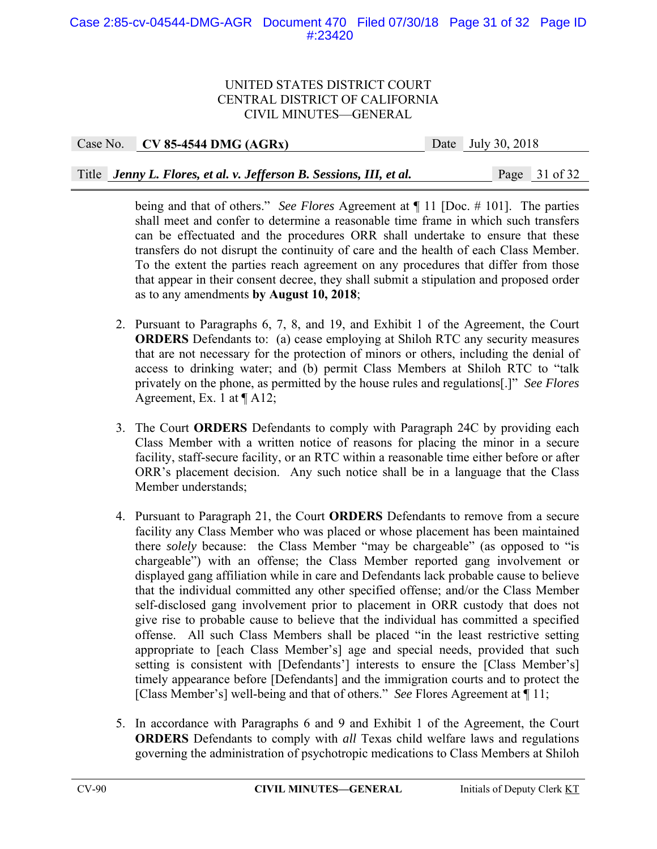Case No. **CV 85-4544 DMG (AGRx)** Date July 30, 2018 Title *Jenny L. Flores, et al. v. Jefferson B. Sessions, III, et al.* Page 31 of 32

> being and that of others." *See Flores* Agreement at ¶ 11 [Doc. # 101]. The parties shall meet and confer to determine a reasonable time frame in which such transfers can be effectuated and the procedures ORR shall undertake to ensure that these transfers do not disrupt the continuity of care and the health of each Class Member. To the extent the parties reach agreement on any procedures that differ from those that appear in their consent decree, they shall submit a stipulation and proposed order as to any amendments **by August 10, 2018**;

- 2. Pursuant to Paragraphs 6, 7, 8, and 19, and Exhibit 1 of the Agreement, the Court **ORDERS** Defendants to: (a) cease employing at Shiloh RTC any security measures that are not necessary for the protection of minors or others, including the denial of access to drinking water; and (b) permit Class Members at Shiloh RTC to "talk privately on the phone, as permitted by the house rules and regulations[.]" *See Flores* Agreement, Ex. 1 at ¶ A12;
- 3. The Court **ORDERS** Defendants to comply with Paragraph 24C by providing each Class Member with a written notice of reasons for placing the minor in a secure facility, staff-secure facility, or an RTC within a reasonable time either before or after ORR's placement decision. Any such notice shall be in a language that the Class Member understands;
- 4. Pursuant to Paragraph 21, the Court **ORDERS** Defendants to remove from a secure facility any Class Member who was placed or whose placement has been maintained there *solely* because: the Class Member "may be chargeable" (as opposed to "is chargeable") with an offense; the Class Member reported gang involvement or displayed gang affiliation while in care and Defendants lack probable cause to believe that the individual committed any other specified offense; and/or the Class Member self-disclosed gang involvement prior to placement in ORR custody that does not give rise to probable cause to believe that the individual has committed a specified offense. All such Class Members shall be placed "in the least restrictive setting appropriate to [each Class Member's] age and special needs, provided that such setting is consistent with [Defendants'] interests to ensure the [Class Member's] timely appearance before [Defendants] and the immigration courts and to protect the [Class Member's] well-being and that of others." *See* Flores Agreement at ¶ 11;
- 5. In accordance with Paragraphs 6 and 9 and Exhibit 1 of the Agreement, the Court **ORDERS** Defendants to comply with *all* Texas child welfare laws and regulations governing the administration of psychotropic medications to Class Members at Shiloh